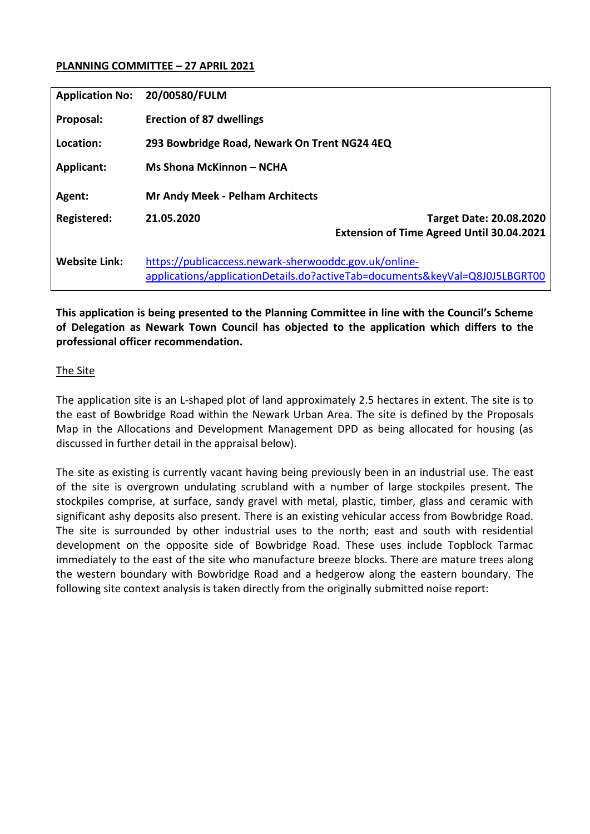### **PLANNING COMMITTEE – 27 APRIL 2021**

| <b>Application No:</b> | 20/00580/FULM                                                                                                                        |                                                  |
|------------------------|--------------------------------------------------------------------------------------------------------------------------------------|--------------------------------------------------|
| Proposal:              | <b>Erection of 87 dwellings</b>                                                                                                      |                                                  |
| Location:              | 293 Bowbridge Road, Newark On Trent NG24 4EQ                                                                                         |                                                  |
| Applicant:             | Ms Shona McKinnon - NCHA                                                                                                             |                                                  |
| Agent:                 | <b>Mr Andy Meek - Pelham Architects</b>                                                                                              |                                                  |
| <b>Registered:</b>     | 21.05.2020                                                                                                                           | <b>Target Date: 20.08.2020</b>                   |
|                        |                                                                                                                                      | <b>Extension of Time Agreed Until 30.04.2021</b> |
| <b>Website Link:</b>   | https://publicaccess.newark-sherwooddc.gov.uk/online-<br>applications/applicationDetails.do?activeTab=documents&keyVal=Q8J0J5LBGRT00 |                                                  |

**This application is being presented to the Planning Committee in line with the Council's Scheme of Delegation as Newark Town Council has objected to the application which differs to the professional officer recommendation.**

#### The Site

The application site is an L-shaped plot of land approximately 2.5 hectares in extent. The site is to the east of Bowbridge Road within the Newark Urban Area. The site is defined by the Proposals Map in the Allocations and Development Management DPD as being allocated for housing (as discussed in further detail in the appraisal below).

The site as existing is currently vacant having being previously been in an industrial use. The east of the site is overgrown undulating scrubland with a number of large stockpiles present. The stockpiles comprise, at surface, sandy gravel with metal, plastic, timber, glass and ceramic with significant ashy deposits also present. There is an existing vehicular access from Bowbridge Road. The site is surrounded by other industrial uses to the north; east and south with residential development on the opposite side of Bowbridge Road. These uses include Topblock Tarmac immediately to the east of the site who manufacture breeze blocks. There are mature trees along the western boundary with Bowbridge Road and a hedgerow along the eastern boundary. The following site context analysis is taken directly from the originally submitted noise report: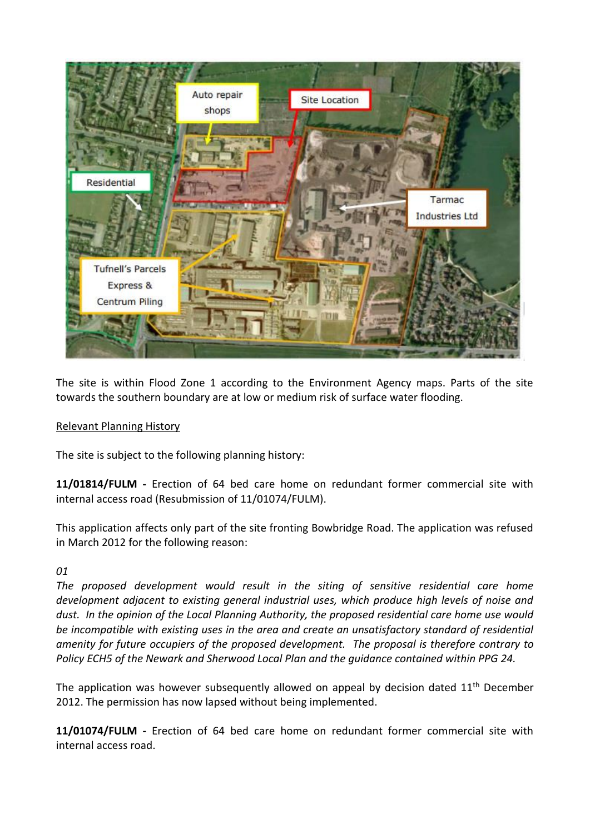

The site is within Flood Zone 1 according to the Environment Agency maps. Parts of the site towards the southern boundary are at low or medium risk of surface water flooding.

# Relevant Planning History

The site is subject to the following planning history:

**11/01814/FULM -** Erection of 64 bed care home on redundant former commercial site with internal access road (Resubmission of 11/01074/FULM).

This application affects only part of the site fronting Bowbridge Road. The application was refused in March 2012 for the following reason:

#### *01*

*The proposed development would result in the siting of sensitive residential care home development adjacent to existing general industrial uses, which produce high levels of noise and dust. In the opinion of the Local Planning Authority, the proposed residential care home use would be incompatible with existing uses in the area and create an unsatisfactory standard of residential amenity for future occupiers of the proposed development. The proposal is therefore contrary to Policy ECH5 of the Newark and Sherwood Local Plan and the guidance contained within PPG 24.*

The application was however subsequently allowed on appeal by decision dated  $11<sup>th</sup>$  December 2012. The permission has now lapsed without being implemented.

**11/01074/FULM -** Erection of 64 bed care home on redundant former commercial site with internal access road.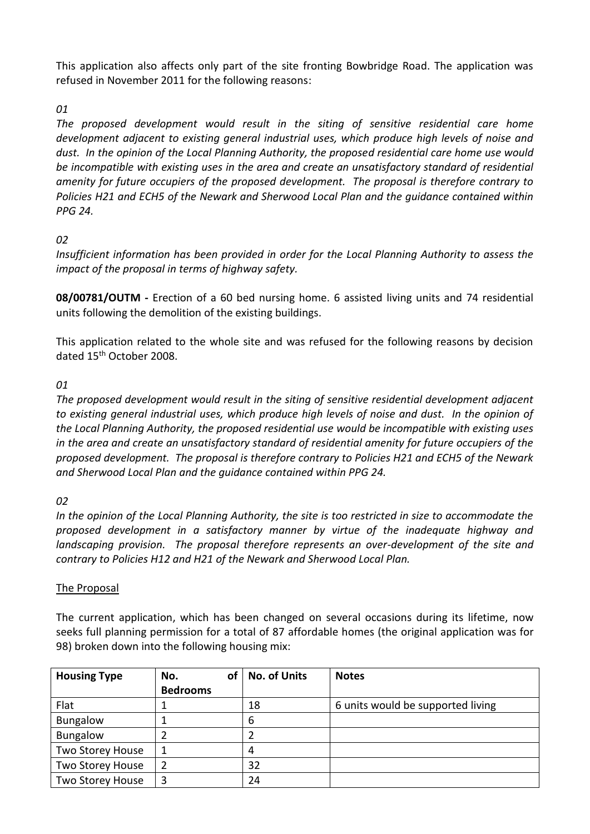This application also affects only part of the site fronting Bowbridge Road. The application was refused in November 2011 for the following reasons:

# *01*

*The proposed development would result in the siting of sensitive residential care home development adjacent to existing general industrial uses, which produce high levels of noise and dust. In the opinion of the Local Planning Authority, the proposed residential care home use would be incompatible with existing uses in the area and create an unsatisfactory standard of residential amenity for future occupiers of the proposed development. The proposal is therefore contrary to Policies H21 and ECH5 of the Newark and Sherwood Local Plan and the guidance contained within PPG 24.*

# *02*

*Insufficient information has been provided in order for the Local Planning Authority to assess the impact of the proposal in terms of highway safety.*

**08/00781/OUTM -** Erection of a 60 bed nursing home. 6 assisted living units and 74 residential units following the demolition of the existing buildings.

This application related to the whole site and was refused for the following reasons by decision dated 15<sup>th</sup> October 2008.

# *01*

*The proposed development would result in the siting of sensitive residential development adjacent to existing general industrial uses, which produce high levels of noise and dust. In the opinion of the Local Planning Authority, the proposed residential use would be incompatible with existing uses in the area and create an unsatisfactory standard of residential amenity for future occupiers of the proposed development. The proposal is therefore contrary to Policies H21 and ECH5 of the Newark and Sherwood Local Plan and the guidance contained within PPG 24.*

# *02*

*In the opinion of the Local Planning Authority, the site is too restricted in size to accommodate the proposed development in a satisfactory manner by virtue of the inadequate highway and landscaping provision. The proposal therefore represents an over-development of the site and contrary to Policies H12 and H21 of the Newark and Sherwood Local Plan.*

# The Proposal

The current application, which has been changed on several occasions during its lifetime, now seeks full planning permission for a total of 87 affordable homes (the original application was for 98) broken down into the following housing mix:

| <b>Housing Type</b> | οf<br>No.       | <b>No. of Units</b> | <b>Notes</b>                      |
|---------------------|-----------------|---------------------|-----------------------------------|
|                     | <b>Bedrooms</b> |                     |                                   |
| Flat                |                 | 18                  | 6 units would be supported living |
| <b>Bungalow</b>     |                 | 6                   |                                   |
| <b>Bungalow</b>     |                 |                     |                                   |
| Two Storey House    |                 | 4                   |                                   |
| Two Storey House    |                 | 32                  |                                   |
| Two Storey House    |                 | 24                  |                                   |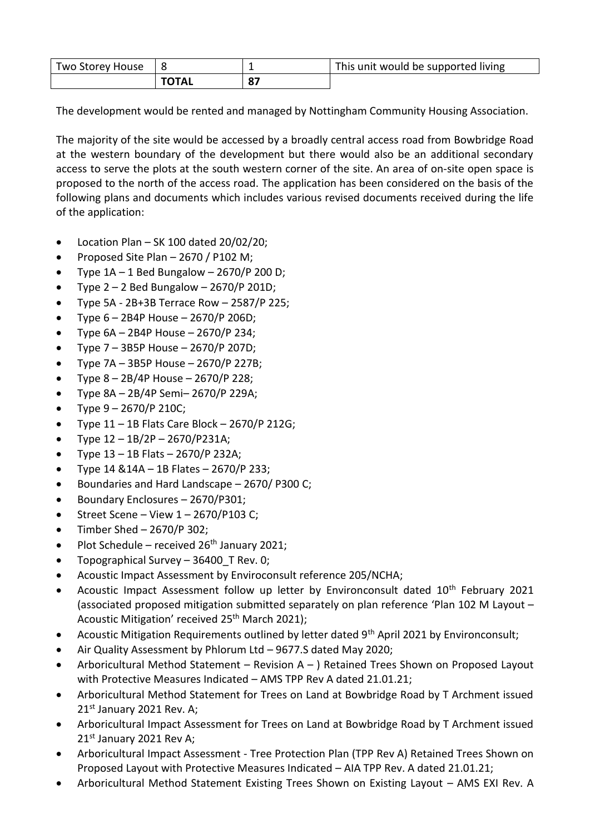| Two Storey House |  | This unit would be supported living |
|------------------|--|-------------------------------------|
|                  |  |                                     |

The development would be rented and managed by Nottingham Community Housing Association.

The majority of the site would be accessed by a broadly central access road from Bowbridge Road at the western boundary of the development but there would also be an additional secondary access to serve the plots at the south western corner of the site. An area of on-site open space is proposed to the north of the access road. The application has been considered on the basis of the following plans and documents which includes various revised documents received during the life of the application:

- Location Plan SK 100 dated 20/02/20;
- Proposed Site Plan 2670 / P102 M;
- Type  $1A 1$  Bed Bungalow  $2670/P 200 D$ ;
- Type  $2 2$  Bed Bungalow  $2670/P 201D$ ;
- Type 5A 2B+3B Terrace Row 2587/P 225;
- Type 6 2B4P House 2670/P 206D;
- Type  $6A 2B4P$  House  $2670/P$  234;
- Type  $7 3B5P$  House  $2670/P$  207D;
- $\bullet$  Type 7A 3B5P House 2670/P 227B;
- Type 8 2B/4P House 2670/P 228;
- Type  $8A 2B/4P$  Semi- 2670/P 229A;
- Type  $9 2670/P 210C$ ;
- Type 11 1B Flats Care Block 2670/P 212G;
- Type 12 1B/2P 2670/P231A;
- Type  $13 1B$  Flats  $2670/P$  232A;
- Type 14 &14A 1B Flates 2670/P 233;
- Boundaries and Hard Landscape 2670/ P300 C;
- Boundary Enclosures 2670/P301;
- $\bullet$  Street Scene View  $1 2670/P103$  C;
- $\bullet$  Timber Shed 2670/P 302:
- Plot Schedule received  $26<sup>th</sup>$  January 2021;
- Topographical Survey 36400\_T Rev. 0;
- Acoustic Impact Assessment by Enviroconsult reference 205/NCHA;
- Acoustic Impact Assessment follow up letter by Environconsult dated 10<sup>th</sup> February 2021 (associated proposed mitigation submitted separately on plan reference 'Plan 102 M Layout – Acoustic Mitigation' received 25<sup>th</sup> March 2021);
- Acoustic Mitigation Requirements outlined by letter dated 9<sup>th</sup> April 2021 by Environconsult;
- Air Quality Assessment by Phlorum Ltd 9677.S dated May 2020;
- Arboricultural Method Statement Revision A ) Retained Trees Shown on Proposed Layout with Protective Measures Indicated – AMS TPP Rev A dated 21.01.21;
- Arboricultural Method Statement for Trees on Land at Bowbridge Road by T Archment issued  $21<sup>st</sup>$  January 2021 Rev. A;
- Arboricultural Impact Assessment for Trees on Land at Bowbridge Road by T Archment issued  $21<sup>st</sup>$  January 2021 Rev A;
- Arboricultural Impact Assessment Tree Protection Plan (TPP Rev A) Retained Trees Shown on Proposed Layout with Protective Measures Indicated – AIA TPP Rev. A dated 21.01.21;
- Arboricultural Method Statement Existing Trees Shown on Existing Layout AMS EXI Rev. A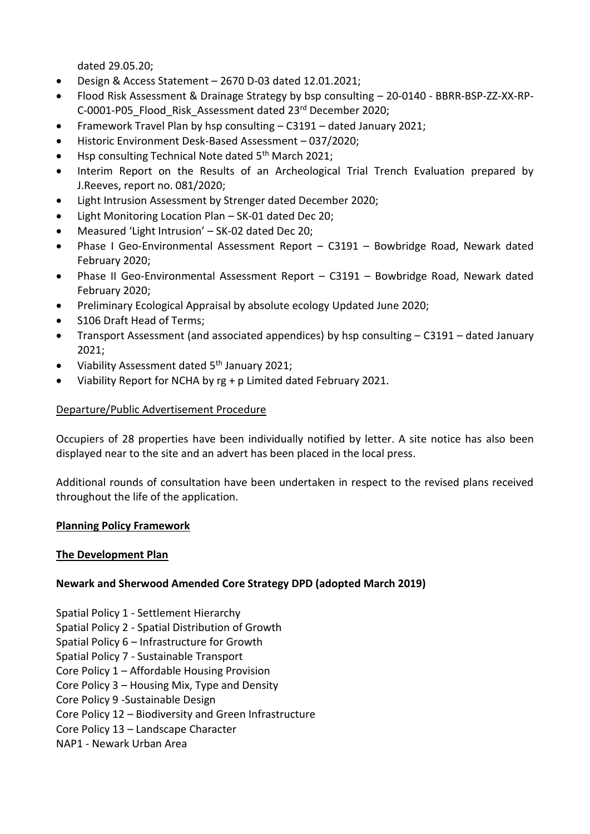dated 29.05.20;

- Design & Access Statement 2670 D-03 dated 12.01.2021;
- Flood Risk Assessment & Drainage Strategy by bsp consulting 20-0140 BBRR-BSP-ZZ-XX-RP-C-0001-P05\_Flood\_Risk\_Assessment dated 23rd December 2020;
- Framework Travel Plan by hsp consulting C3191 dated January 2021;
- Historic Environment Desk-Based Assessment 037/2020;
- Hsp consulting Technical Note dated 5<sup>th</sup> March 2021;
- Interim Report on the Results of an Archeological Trial Trench Evaluation prepared by J.Reeves, report no. 081/2020;
- Light Intrusion Assessment by Strenger dated December 2020;
- Light Monitoring Location Plan SK-01 dated Dec 20;
- Measured 'Light Intrusion' SK-02 dated Dec 20;
- Phase I Geo-Environmental Assessment Report C3191 Bowbridge Road, Newark dated February 2020;
- Phase II Geo-Environmental Assessment Report C3191 Bowbridge Road, Newark dated February 2020;
- Preliminary Ecological Appraisal by absolute ecology Updated June 2020;
- S106 Draft Head of Terms;
- Transport Assessment (and associated appendices) by hsp consulting C3191 dated January 2021;
- $\bullet$  Viability Assessment dated 5<sup>th</sup> January 2021:
- Viability Report for NCHA by rg + p Limited dated February 2021.

### Departure/Public Advertisement Procedure

Occupiers of 28 properties have been individually notified by letter. A site notice has also been displayed near to the site and an advert has been placed in the local press.

Additional rounds of consultation have been undertaken in respect to the revised plans received throughout the life of the application.

#### **Planning Policy Framework**

#### **The Development Plan**

# **Newark and Sherwood Amended Core Strategy DPD (adopted March 2019)**

- Spatial Policy 1 Settlement Hierarchy
- Spatial Policy 2 Spatial Distribution of Growth
- Spatial Policy 6 Infrastructure for Growth
- Spatial Policy 7 Sustainable Transport
- Core Policy 1 Affordable Housing Provision
- Core Policy 3 Housing Mix, Type and Density
- Core Policy 9 -Sustainable Design
- Core Policy 12 Biodiversity and Green Infrastructure
- Core Policy 13 Landscape Character
- NAP1 Newark Urban Area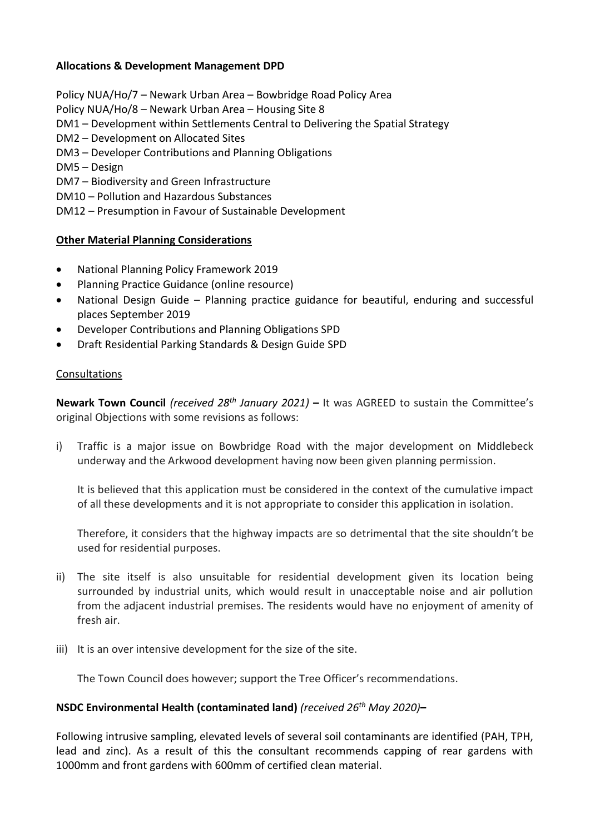# **Allocations & Development Management DPD**

Policy NUA/Ho/7 – Newark Urban Area – Bowbridge Road Policy Area

Policy NUA/Ho/8 – Newark Urban Area – Housing Site 8

- DM1 Development within Settlements Central to Delivering the Spatial Strategy
- DM2 Development on Allocated Sites
- DM3 Developer Contributions and Planning Obligations
- DM5 Design
- DM7 Biodiversity and Green Infrastructure
- DM10 Pollution and Hazardous Substances
- DM12 Presumption in Favour of Sustainable Development

### **Other Material Planning Considerations**

- National Planning Policy Framework 2019
- Planning Practice Guidance (online resource)
- National Design Guide Planning practice guidance for beautiful, enduring and successful places September 2019
- Developer Contributions and Planning Obligations SPD
- Draft Residential Parking Standards & Design Guide SPD

#### Consultations

**Newark Town Council** *(received 28th January 2021)* **–** It was AGREED to sustain the Committee's original Objections with some revisions as follows:

i) Traffic is a major issue on Bowbridge Road with the major development on Middlebeck underway and the Arkwood development having now been given planning permission.

It is believed that this application must be considered in the context of the cumulative impact of all these developments and it is not appropriate to consider this application in isolation.

Therefore, it considers that the highway impacts are so detrimental that the site shouldn't be used for residential purposes.

- ii) The site itself is also unsuitable for residential development given its location being surrounded by industrial units, which would result in unacceptable noise and air pollution from the adjacent industrial premises. The residents would have no enjoyment of amenity of fresh air.
- iii) It is an over intensive development for the size of the site.

The Town Council does however; support the Tree Officer's recommendations.

#### **NSDC Environmental Health (contaminated land)** *(received 26th May 2020)***–**

Following intrusive sampling, elevated levels of several soil contaminants are identified (PAH, TPH, lead and zinc). As a result of this the consultant recommends capping of rear gardens with 1000mm and front gardens with 600mm of certified clean material.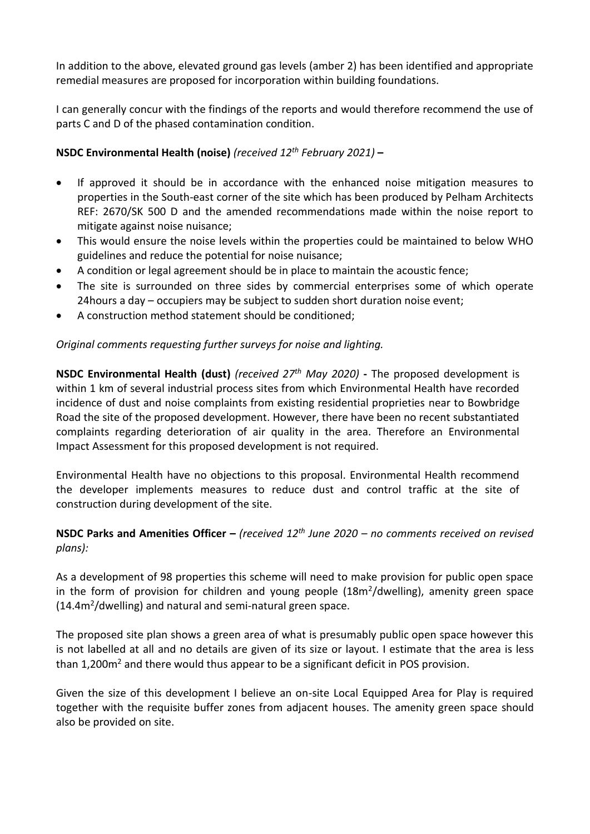In addition to the above, elevated ground gas levels (amber 2) has been identified and appropriate remedial measures are proposed for incorporation within building foundations.

I can generally concur with the findings of the reports and would therefore recommend the use of parts C and D of the phased contamination condition.

# **NSDC Environmental Health (noise)** *(received 12th February 2021)* **–**

- If approved it should be in accordance with the enhanced noise mitigation measures to properties in the South-east corner of the site which has been produced by Pelham Architects REF: 2670/SK 500 D and the amended recommendations made within the noise report to mitigate against noise nuisance;
- This would ensure the noise levels within the properties could be maintained to below WHO guidelines and reduce the potential for noise nuisance;
- A condition or legal agreement should be in place to maintain the acoustic fence;
- The site is surrounded on three sides by commercial enterprises some of which operate 24hours a day – occupiers may be subject to sudden short duration noise event;
- A construction method statement should be conditioned;

# *Original comments requesting further surveys for noise and lighting.*

**NSDC Environmental Health (dust)** *(received 27th May 2020)* **-** The proposed development is within 1 km of several industrial process sites from which Environmental Health have recorded incidence of dust and noise complaints from existing residential proprieties near to Bowbridge Road the site of the proposed development. However, there have been no recent substantiated complaints regarding deterioration of air quality in the area. Therefore an Environmental Impact Assessment for this proposed development is not required.

Environmental Health have no objections to this proposal. Environmental Health recommend the developer implements measures to reduce dust and control traffic at the site of construction during development of the site.

# **NSDC Parks and Amenities Officer –** *(received 12th June 2020 – no comments received on revised plans):*

As a development of 98 properties this scheme will need to make provision for public open space in the form of provision for children and young people (18m<sup>2</sup>/dwelling), amenity green space (14.4m<sup>2</sup>/dwelling) and natural and semi-natural green space.

The proposed site plan shows a green area of what is presumably public open space however this is not labelled at all and no details are given of its size or layout. I estimate that the area is less than 1,200m<sup>2</sup> and there would thus appear to be a significant deficit in POS provision.

Given the size of this development I believe an on-site Local Equipped Area for Play is required together with the requisite buffer zones from adjacent houses. The amenity green space should also be provided on site.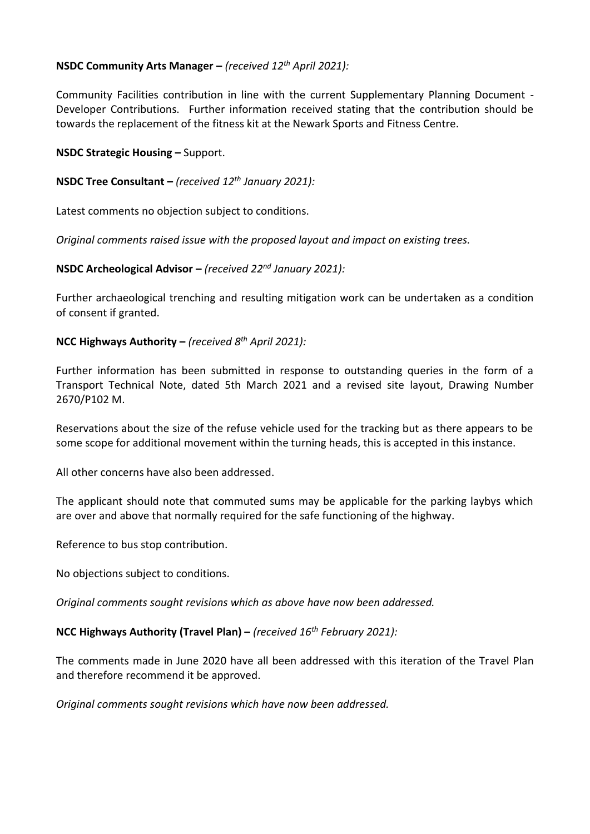# **NSDC Community Arts Manager –** *(received 12th April 2021):*

Community Facilities contribution in line with the current Supplementary Planning Document - Developer Contributions. Further information received stating that the contribution should be towards the replacement of the fitness kit at the Newark Sports and Fitness Centre.

### **NSDC Strategic Housing –** Support.

### **NSDC Tree Consultant –** *(received 12th January 2021):*

Latest comments no objection subject to conditions.

*Original comments raised issue with the proposed layout and impact on existing trees.* 

### **NSDC Archeological Advisor –** *(received 22nd January 2021):*

Further archaeological trenching and resulting mitigation work can be undertaken as a condition of consent if granted.

### **NCC Highways Authority –** *(received 8th April 2021):*

Further information has been submitted in response to outstanding queries in the form of a Transport Technical Note, dated 5th March 2021 and a revised site layout, Drawing Number 2670/P102 M.

Reservations about the size of the refuse vehicle used for the tracking but as there appears to be some scope for additional movement within the turning heads, this is accepted in this instance.

All other concerns have also been addressed.

The applicant should note that commuted sums may be applicable for the parking laybys which are over and above that normally required for the safe functioning of the highway.

Reference to bus stop contribution.

No objections subject to conditions.

*Original comments sought revisions which as above have now been addressed.* 

#### **NCC Highways Authority (Travel Plan) –** *(received 16th February 2021):*

The comments made in June 2020 have all been addressed with this iteration of the Travel Plan and therefore recommend it be approved.

*Original comments sought revisions which have now been addressed.*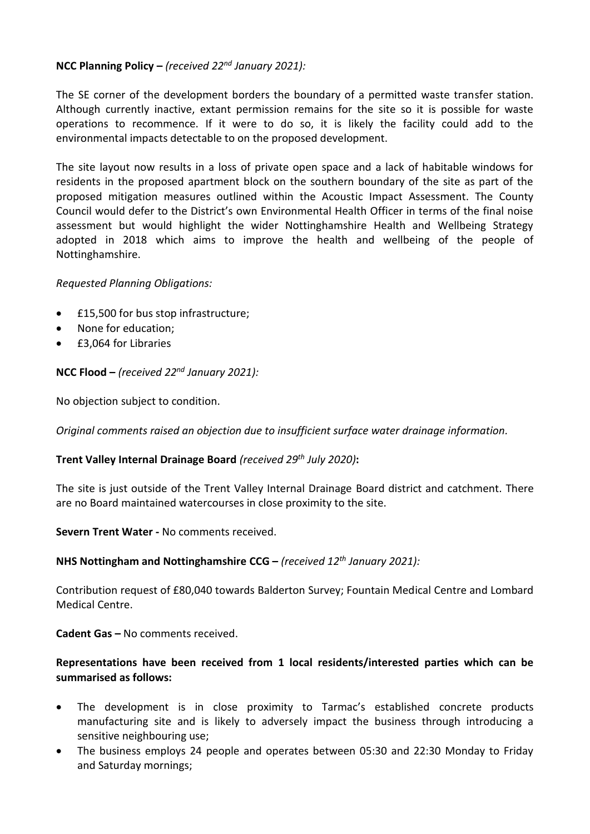# **NCC Planning Policy –** *(received 22nd January 2021):*

The SE corner of the development borders the boundary of a permitted waste transfer station. Although currently inactive, extant permission remains for the site so it is possible for waste operations to recommence. If it were to do so, it is likely the facility could add to the environmental impacts detectable to on the proposed development.

The site layout now results in a loss of private open space and a lack of habitable windows for residents in the proposed apartment block on the southern boundary of the site as part of the proposed mitigation measures outlined within the Acoustic Impact Assessment. The County Council would defer to the District's own Environmental Health Officer in terms of the final noise assessment but would highlight the wider Nottinghamshire Health and Wellbeing Strategy adopted in 2018 which aims to improve the health and wellbeing of the people of Nottinghamshire.

#### *Requested Planning Obligations:*

- £15,500 for bus stop infrastructure;
- None for education;
- £3,064 for Libraries

### **NCC Flood –** *(received 22nd January 2021):*

No objection subject to condition.

*Original comments raised an objection due to insufficient surface water drainage information.*

#### **Trent Valley Internal Drainage Board** *(received 29th July 2020)***:**

The site is just outside of the Trent Valley Internal Drainage Board district and catchment. There are no Board maintained watercourses in close proximity to the site.

#### **Severn Trent Water -** No comments received.

**NHS Nottingham and Nottinghamshire CCG –** *(received 12th January 2021):*

Contribution request of £80,040 towards Balderton Survey; Fountain Medical Centre and Lombard Medical Centre.

#### **Cadent Gas –** No comments received.

# **Representations have been received from 1 local residents/interested parties which can be summarised as follows:**

- The development is in close proximity to Tarmac's established concrete products manufacturing site and is likely to adversely impact the business through introducing a sensitive neighbouring use;
- The business employs 24 people and operates between 05:30 and 22:30 Monday to Friday and Saturday mornings;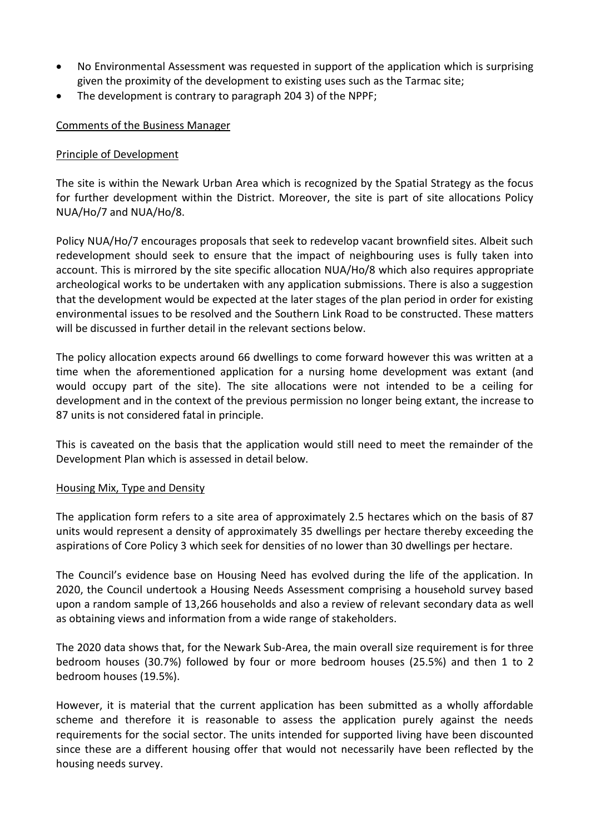- No Environmental Assessment was requested in support of the application which is surprising given the proximity of the development to existing uses such as the Tarmac site;
- The development is contrary to paragraph 204 3) of the NPPF;

### Comments of the Business Manager

### Principle of Development

The site is within the Newark Urban Area which is recognized by the Spatial Strategy as the focus for further development within the District. Moreover, the site is part of site allocations Policy NUA/Ho/7 and NUA/Ho/8.

Policy NUA/Ho/7 encourages proposals that seek to redevelop vacant brownfield sites. Albeit such redevelopment should seek to ensure that the impact of neighbouring uses is fully taken into account. This is mirrored by the site specific allocation NUA/Ho/8 which also requires appropriate archeological works to be undertaken with any application submissions. There is also a suggestion that the development would be expected at the later stages of the plan period in order for existing environmental issues to be resolved and the Southern Link Road to be constructed. These matters will be discussed in further detail in the relevant sections below.

The policy allocation expects around 66 dwellings to come forward however this was written at a time when the aforementioned application for a nursing home development was extant (and would occupy part of the site). The site allocations were not intended to be a ceiling for development and in the context of the previous permission no longer being extant, the increase to 87 units is not considered fatal in principle.

This is caveated on the basis that the application would still need to meet the remainder of the Development Plan which is assessed in detail below.

#### Housing Mix, Type and Density

The application form refers to a site area of approximately 2.5 hectares which on the basis of 87 units would represent a density of approximately 35 dwellings per hectare thereby exceeding the aspirations of Core Policy 3 which seek for densities of no lower than 30 dwellings per hectare.

The Council's evidence base on Housing Need has evolved during the life of the application. In 2020, the Council undertook a Housing Needs Assessment comprising a household survey based upon a random sample of 13,266 households and also a review of relevant secondary data as well as obtaining views and information from a wide range of stakeholders.

The 2020 data shows that, for the Newark Sub-Area, the main overall size requirement is for three bedroom houses (30.7%) followed by four or more bedroom houses (25.5%) and then 1 to 2 bedroom houses (19.5%).

However, it is material that the current application has been submitted as a wholly affordable scheme and therefore it is reasonable to assess the application purely against the needs requirements for the social sector. The units intended for supported living have been discounted since these are a different housing offer that would not necessarily have been reflected by the housing needs survey.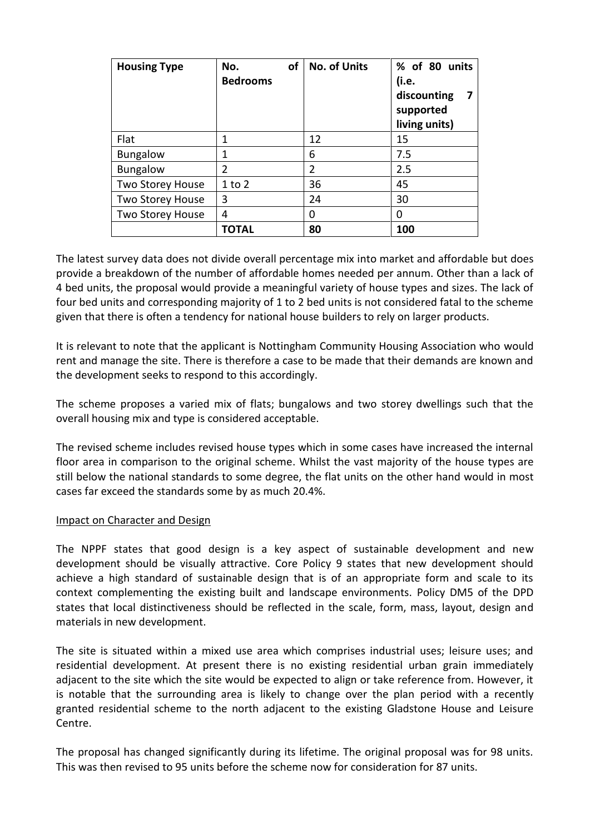| <b>Housing Type</b>     | οf<br>No.<br><b>Bedrooms</b> | <b>No. of Units</b> | % of 80 units<br>(i.e.<br>discounting<br>supported<br>living units) |
|-------------------------|------------------------------|---------------------|---------------------------------------------------------------------|
| Flat                    | 1                            | 12                  | 15                                                                  |
| <b>Bungalow</b>         | 1                            | 6                   | 7.5                                                                 |
| <b>Bungalow</b>         | $\overline{2}$               | $\overline{2}$      | 2.5                                                                 |
| Two Storey House        | $1$ to $2$                   | 36                  | 45                                                                  |
| <b>Two Storey House</b> | 3                            | 24                  | 30                                                                  |
| <b>Two Storey House</b> | 4                            | 0                   | 0                                                                   |
|                         | TOTAL                        | 80                  | 100                                                                 |

The latest survey data does not divide overall percentage mix into market and affordable but does provide a breakdown of the number of affordable homes needed per annum. Other than a lack of 4 bed units, the proposal would provide a meaningful variety of house types and sizes. The lack of four bed units and corresponding majority of 1 to 2 bed units is not considered fatal to the scheme given that there is often a tendency for national house builders to rely on larger products.

It is relevant to note that the applicant is Nottingham Community Housing Association who would rent and manage the site. There is therefore a case to be made that their demands are known and the development seeks to respond to this accordingly.

The scheme proposes a varied mix of flats; bungalows and two storey dwellings such that the overall housing mix and type is considered acceptable.

The revised scheme includes revised house types which in some cases have increased the internal floor area in comparison to the original scheme. Whilst the vast majority of the house types are still below the national standards to some degree, the flat units on the other hand would in most cases far exceed the standards some by as much 20.4%.

#### Impact on Character and Design

The NPPF states that good design is a key aspect of sustainable development and new development should be visually attractive. Core Policy 9 states that new development should achieve a high standard of sustainable design that is of an appropriate form and scale to its context complementing the existing built and landscape environments. Policy DM5 of the DPD states that local distinctiveness should be reflected in the scale, form, mass, layout, design and materials in new development.

The site is situated within a mixed use area which comprises industrial uses; leisure uses; and residential development. At present there is no existing residential urban grain immediately adjacent to the site which the site would be expected to align or take reference from. However, it is notable that the surrounding area is likely to change over the plan period with a recently granted residential scheme to the north adjacent to the existing Gladstone House and Leisure Centre.

The proposal has changed significantly during its lifetime. The original proposal was for 98 units. This was then revised to 95 units before the scheme now for consideration for 87 units.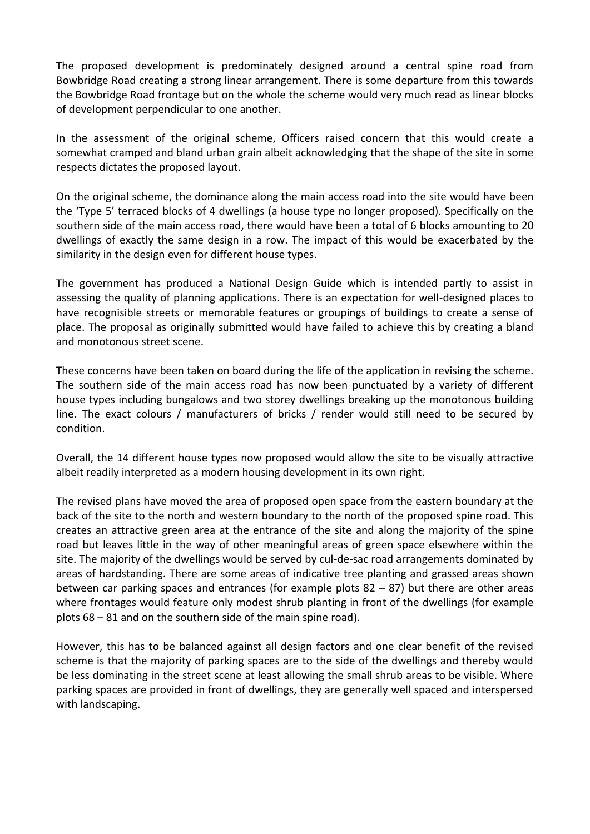The proposed development is predominately designed around a central spine road from Bowbridge Road creating a strong linear arrangement. There is some departure from this towards the Bowbridge Road frontage but on the whole the scheme would very much read as linear blocks of development perpendicular to one another.

In the assessment of the original scheme, Officers raised concern that this would create a somewhat cramped and bland urban grain albeit acknowledging that the shape of the site in some respects dictates the proposed layout.

On the original scheme, the dominance along the main access road into the site would have been the 'Type 5' terraced blocks of 4 dwellings (a house type no longer proposed). Specifically on the southern side of the main access road, there would have been a total of 6 blocks amounting to 20 dwellings of exactly the same design in a row. The impact of this would be exacerbated by the similarity in the design even for different house types.

The government has produced a National Design Guide which is intended partly to assist in assessing the quality of planning applications. There is an expectation for well-designed places to have recognisible streets or memorable features or groupings of buildings to create a sense of place. The proposal as originally submitted would have failed to achieve this by creating a bland and monotonous street scene.

These concerns have been taken on board during the life of the application in revising the scheme. The southern side of the main access road has now been punctuated by a variety of different house types including bungalows and two storey dwellings breaking up the monotonous building line. The exact colours / manufacturers of bricks / render would still need to be secured by condition.

Overall, the 14 different house types now proposed would allow the site to be visually attractive albeit readily interpreted as a modern housing development in its own right.

The revised plans have moved the area of proposed open space from the eastern boundary at the back of the site to the north and western boundary to the north of the proposed spine road. This creates an attractive green area at the entrance of the site and along the majority of the spine road but leaves little in the way of other meaningful areas of green space elsewhere within the site. The majority of the dwellings would be served by cul-de-sac road arrangements dominated by areas of hardstanding. There are some areas of indicative tree planting and grassed areas shown between car parking spaces and entrances (for example plots 82 – 87) but there are other areas where frontages would feature only modest shrub planting in front of the dwellings (for example plots 68 – 81 and on the southern side of the main spine road).

However, this has to be balanced against all design factors and one clear benefit of the revised scheme is that the majority of parking spaces are to the side of the dwellings and thereby would be less dominating in the street scene at least allowing the small shrub areas to be visible. Where parking spaces are provided in front of dwellings, they are generally well spaced and interspersed with landscaping.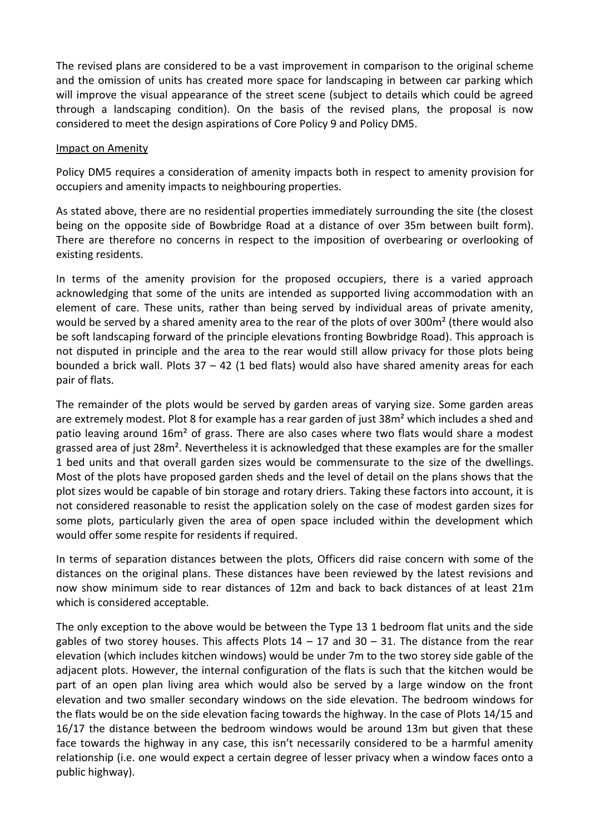The revised plans are considered to be a vast improvement in comparison to the original scheme and the omission of units has created more space for landscaping in between car parking which will improve the visual appearance of the street scene (subject to details which could be agreed through a landscaping condition). On the basis of the revised plans, the proposal is now considered to meet the design aspirations of Core Policy 9 and Policy DM5.

### Impact on Amenity

Policy DM5 requires a consideration of amenity impacts both in respect to amenity provision for occupiers and amenity impacts to neighbouring properties.

As stated above, there are no residential properties immediately surrounding the site (the closest being on the opposite side of Bowbridge Road at a distance of over 35m between built form). There are therefore no concerns in respect to the imposition of overbearing or overlooking of existing residents.

In terms of the amenity provision for the proposed occupiers, there is a varied approach acknowledging that some of the units are intended as supported living accommodation with an element of care. These units, rather than being served by individual areas of private amenity, would be served by a shared amenity area to the rear of the plots of over 300m² (there would also be soft landscaping forward of the principle elevations fronting Bowbridge Road). This approach is not disputed in principle and the area to the rear would still allow privacy for those plots being bounded a brick wall. Plots  $37 - 42$  (1 bed flats) would also have shared amenity areas for each pair of flats.

The remainder of the plots would be served by garden areas of varying size. Some garden areas are extremely modest. Plot 8 for example has a rear garden of just 38m<sup>2</sup> which includes a shed and patio leaving around 16m² of grass. There are also cases where two flats would share a modest grassed area of just 28m². Nevertheless it is acknowledged that these examples are for the smaller 1 bed units and that overall garden sizes would be commensurate to the size of the dwellings. Most of the plots have proposed garden sheds and the level of detail on the plans shows that the plot sizes would be capable of bin storage and rotary driers. Taking these factors into account, it is not considered reasonable to resist the application solely on the case of modest garden sizes for some plots, particularly given the area of open space included within the development which would offer some respite for residents if required.

In terms of separation distances between the plots, Officers did raise concern with some of the distances on the original plans. These distances have been reviewed by the latest revisions and now show minimum side to rear distances of 12m and back to back distances of at least 21m which is considered acceptable.

The only exception to the above would be between the Type 13 1 bedroom flat units and the side gables of two storey houses. This affects Plots  $14 - 17$  and  $30 - 31$ . The distance from the rear elevation (which includes kitchen windows) would be under 7m to the two storey side gable of the adjacent plots. However, the internal configuration of the flats is such that the kitchen would be part of an open plan living area which would also be served by a large window on the front elevation and two smaller secondary windows on the side elevation. The bedroom windows for the flats would be on the side elevation facing towards the highway. In the case of Plots 14/15 and 16/17 the distance between the bedroom windows would be around 13m but given that these face towards the highway in any case, this isn't necessarily considered to be a harmful amenity relationship (i.e. one would expect a certain degree of lesser privacy when a window faces onto a public highway).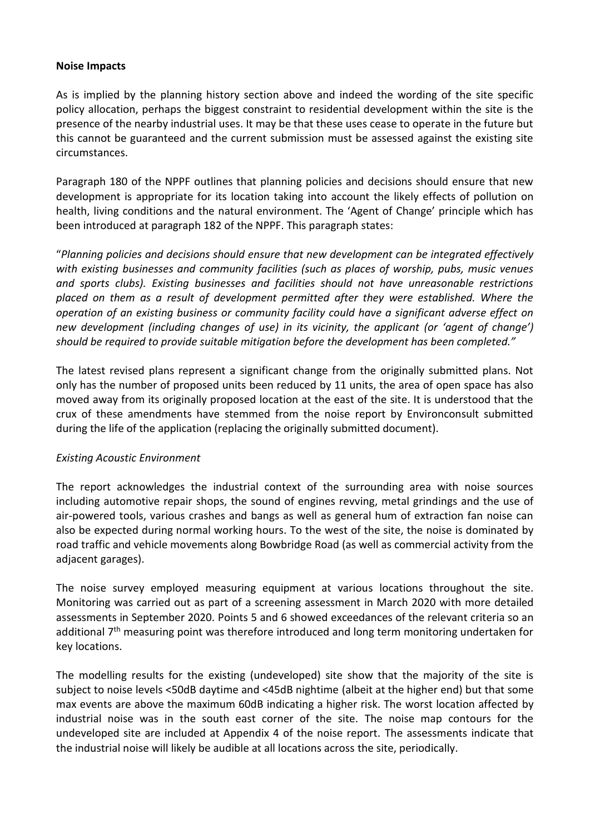#### **Noise Impacts**

As is implied by the planning history section above and indeed the wording of the site specific policy allocation, perhaps the biggest constraint to residential development within the site is the presence of the nearby industrial uses. It may be that these uses cease to operate in the future but this cannot be guaranteed and the current submission must be assessed against the existing site circumstances.

Paragraph 180 of the NPPF outlines that planning policies and decisions should ensure that new development is appropriate for its location taking into account the likely effects of pollution on health, living conditions and the natural environment. The 'Agent of Change' principle which has been introduced at paragraph 182 of the NPPF. This paragraph states:

"*Planning policies and decisions should ensure that new development can be integrated effectively with existing businesses and community facilities (such as places of worship, pubs, music venues and sports clubs). Existing businesses and facilities should not have unreasonable restrictions placed on them as a result of development permitted after they were established. Where the operation of an existing business or community facility could have a significant adverse effect on new development (including changes of use) in its vicinity, the applicant (or 'agent of change') should be required to provide suitable mitigation before the development has been completed."*

The latest revised plans represent a significant change from the originally submitted plans. Not only has the number of proposed units been reduced by 11 units, the area of open space has also moved away from its originally proposed location at the east of the site. It is understood that the crux of these amendments have stemmed from the noise report by Environconsult submitted during the life of the application (replacing the originally submitted document).

# *Existing Acoustic Environment*

The report acknowledges the industrial context of the surrounding area with noise sources including automotive repair shops, the sound of engines revving, metal grindings and the use of air-powered tools, various crashes and bangs as well as general hum of extraction fan noise can also be expected during normal working hours. To the west of the site, the noise is dominated by road traffic and vehicle movements along Bowbridge Road (as well as commercial activity from the adjacent garages).

The noise survey employed measuring equipment at various locations throughout the site. Monitoring was carried out as part of a screening assessment in March 2020 with more detailed assessments in September 2020. Points 5 and 6 showed exceedances of the relevant criteria so an additional  $7<sup>th</sup>$  measuring point was therefore introduced and long term monitoring undertaken for key locations.

The modelling results for the existing (undeveloped) site show that the majority of the site is subject to noise levels <50dB daytime and <45dB nightime (albeit at the higher end) but that some max events are above the maximum 60dB indicating a higher risk. The worst location affected by industrial noise was in the south east corner of the site. The noise map contours for the undeveloped site are included at Appendix 4 of the noise report. The assessments indicate that the industrial noise will likely be audible at all locations across the site, periodically.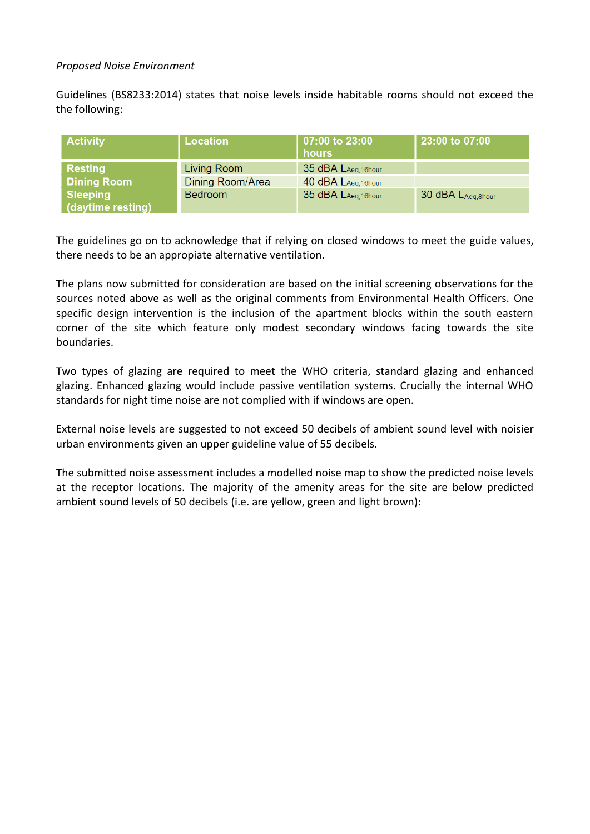### *Proposed Noise Environment*

Guidelines (BS8233:2014) states that noise levels inside habitable rooms should not exceed the the following:

| <b>Activity</b>                      | <b>Location</b>  | 07:00 to 23:00<br>hours | 23:00 to 07:00     |
|--------------------------------------|------------------|-------------------------|--------------------|
| <b>Resting</b>                       | Living Room      | 35 dBA LAeg, 16hour     |                    |
| <b>Dining Room</b>                   | Dining Room/Area | 40 dBA LAeg, 16hour     |                    |
| <b>Sleeping</b><br>(daytime resting) | <b>Bedroom</b>   | 35 dBA LAeg, 16hour     | 30 dBA LAeg, 8hour |

The guidelines go on to acknowledge that if relying on closed windows to meet the guide values, there needs to be an appropiate alternative ventilation.

The plans now submitted for consideration are based on the initial screening observations for the sources noted above as well as the original comments from Environmental Health Officers. One specific design intervention is the inclusion of the apartment blocks within the south eastern corner of the site which feature only modest secondary windows facing towards the site boundaries.

Two types of glazing are required to meet the WHO criteria, standard glazing and enhanced glazing. Enhanced glazing would include passive ventilation systems. Crucially the internal WHO standards for night time noise are not complied with if windows are open.

External noise levels are suggested to not exceed 50 decibels of ambient sound level with noisier urban environments given an upper guideline value of 55 decibels.

The submitted noise assessment includes a modelled noise map to show the predicted noise levels at the receptor locations. The majority of the amenity areas for the site are below predicted ambient sound levels of 50 decibels (i.e. are yellow, green and light brown):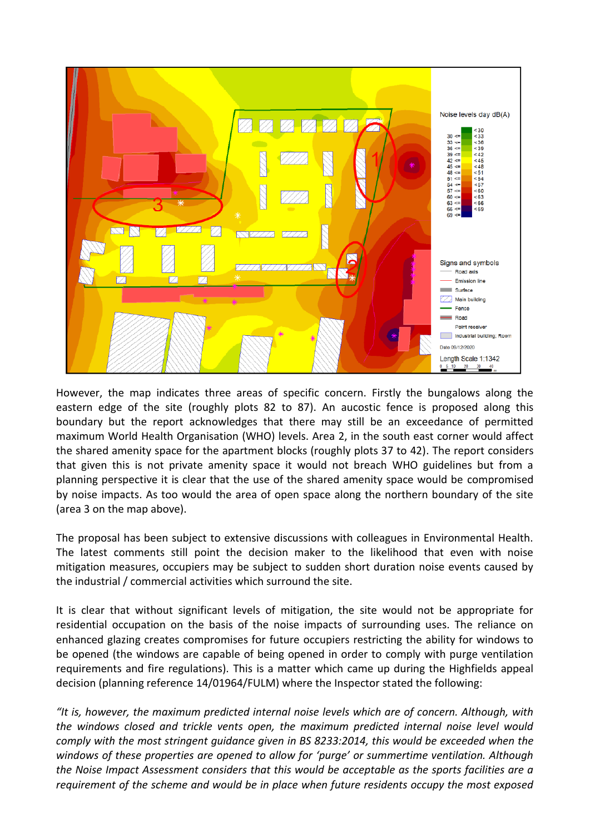

However, the map indicates three areas of specific concern. Firstly the bungalows along the eastern edge of the site (roughly plots 82 to 87). An aucostic fence is proposed along this boundary but the report acknowledges that there may still be an exceedance of permitted maximum World Health Organisation (WHO) levels. Area 2, in the south east corner would affect the shared amenity space for the apartment blocks (roughly plots 37 to 42). The report considers that given this is not private amenity space it would not breach WHO guidelines but from a planning perspective it is clear that the use of the shared amenity space would be compromised by noise impacts. As too would the area of open space along the northern boundary of the site (area 3 on the map above).

The proposal has been subject to extensive discussions with colleagues in Environmental Health. The latest comments still point the decision maker to the likelihood that even with noise mitigation measures, occupiers may be subject to sudden short duration noise events caused by the industrial / commercial activities which surround the site.

It is clear that without significant levels of mitigation, the site would not be appropriate for residential occupation on the basis of the noise impacts of surrounding uses. The reliance on enhanced glazing creates compromises for future occupiers restricting the ability for windows to be opened (the windows are capable of being opened in order to comply with purge ventilation requirements and fire regulations). This is a matter which came up during the Highfields appeal decision (planning reference 14/01964/FULM) where the Inspector stated the following:

*"It is, however, the maximum predicted internal noise levels which are of concern. Although, with the windows closed and trickle vents open, the maximum predicted internal noise level would comply with the most stringent guidance given in BS 8233:2014, this would be exceeded when the windows of these properties are opened to allow for 'purge' or summertime ventilation. Although the Noise Impact Assessment considers that this would be acceptable as the sports facilities are a requirement of the scheme and would be in place when future residents occupy the most exposed*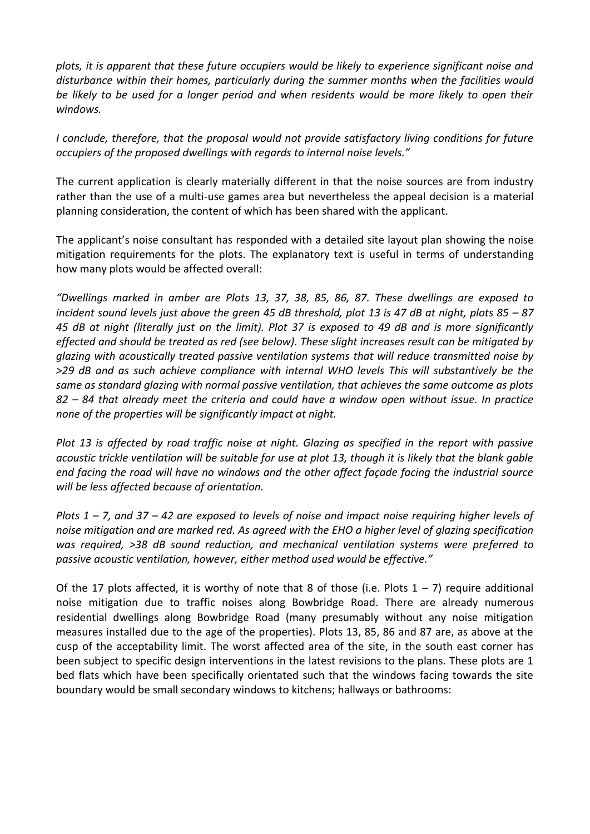*plots, it is apparent that these future occupiers would be likely to experience significant noise and disturbance within their homes, particularly during the summer months when the facilities would be likely to be used for a longer period and when residents would be more likely to open their windows.* 

*I conclude, therefore, that the proposal would not provide satisfactory living conditions for future occupiers of the proposed dwellings with regards to internal noise levels."*

The current application is clearly materially different in that the noise sources are from industry rather than the use of a multi-use games area but nevertheless the appeal decision is a material planning consideration, the content of which has been shared with the applicant.

The applicant's noise consultant has responded with a detailed site layout plan showing the noise mitigation requirements for the plots. The explanatory text is useful in terms of understanding how many plots would be affected overall:

*"Dwellings marked in amber are Plots 13, 37, 38, 85, 86, 87. These dwellings are exposed to incident sound levels just above the green 45 dB threshold, plot 13 is 47 dB at night, plots 85 – 87 45 dB at night (literally just on the limit). Plot 37 is exposed to 49 dB and is more significantly effected and should be treated as red (see below). These slight increases result can be mitigated by glazing with acoustically treated passive ventilation systems that will reduce transmitted noise by >29 dB and as such achieve compliance with internal WHO levels This will substantively be the same as standard glazing with normal passive ventilation, that achieves the same outcome as plots 82 – 84 that already meet the criteria and could have a window open without issue. In practice none of the properties will be significantly impact at night.* 

*Plot 13 is affected by road traffic noise at night. Glazing as specified in the report with passive acoustic trickle ventilation will be suitable for use at plot 13, though it is likely that the blank gable end facing the road will have no windows and the other affect façade facing the industrial source will be less affected because of orientation.* 

*Plots 1 – 7, and 37 – 42 are exposed to levels of noise and impact noise requiring higher levels of noise mitigation and are marked red. As agreed with the EHO a higher level of glazing specification was required, >38 dB sound reduction, and mechanical ventilation systems were preferred to passive acoustic ventilation, however, either method used would be effective."*

Of the 17 plots affected, it is worthy of note that 8 of those (i.e. Plots  $1 - 7$ ) require additional noise mitigation due to traffic noises along Bowbridge Road. There are already numerous residential dwellings along Bowbridge Road (many presumably without any noise mitigation measures installed due to the age of the properties). Plots 13, 85, 86 and 87 are, as above at the cusp of the acceptability limit. The worst affected area of the site, in the south east corner has been subject to specific design interventions in the latest revisions to the plans. These plots are 1 bed flats which have been specifically orientated such that the windows facing towards the site boundary would be small secondary windows to kitchens; hallways or bathrooms: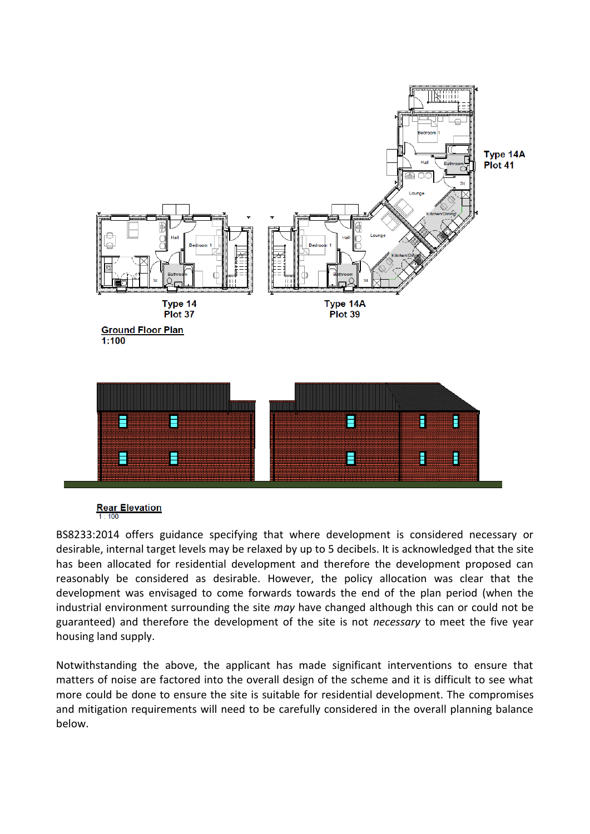

**Rear Elevation**  $1:100$ 

BS8233:2014 offers guidance specifying that where development is considered necessary or desirable, internal target levels may be relaxed by up to 5 decibels. It is acknowledged that the site has been allocated for residential development and therefore the development proposed can reasonably be considered as desirable. However, the policy allocation was clear that the development was envisaged to come forwards towards the end of the plan period (when the industrial environment surrounding the site *may* have changed although this can or could not be guaranteed) and therefore the development of the site is not *necessary* to meet the five year housing land supply.

Notwithstanding the above, the applicant has made significant interventions to ensure that matters of noise are factored into the overall design of the scheme and it is difficult to see what more could be done to ensure the site is suitable for residential development. The compromises and mitigation requirements will need to be carefully considered in the overall planning balance below.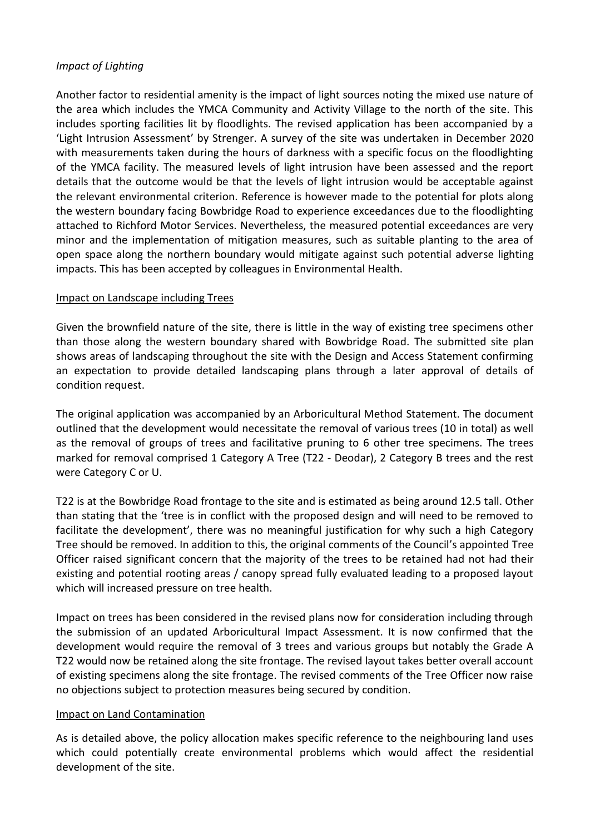### *Impact of Lighting*

Another factor to residential amenity is the impact of light sources noting the mixed use nature of the area which includes the YMCA Community and Activity Village to the north of the site. This includes sporting facilities lit by floodlights. The revised application has been accompanied by a 'Light Intrusion Assessment' by Strenger. A survey of the site was undertaken in December 2020 with measurements taken during the hours of darkness with a specific focus on the floodlighting of the YMCA facility. The measured levels of light intrusion have been assessed and the report details that the outcome would be that the levels of light intrusion would be acceptable against the relevant environmental criterion. Reference is however made to the potential for plots along the western boundary facing Bowbridge Road to experience exceedances due to the floodlighting attached to Richford Motor Services. Nevertheless, the measured potential exceedances are very minor and the implementation of mitigation measures, such as suitable planting to the area of open space along the northern boundary would mitigate against such potential adverse lighting impacts. This has been accepted by colleagues in Environmental Health.

#### Impact on Landscape including Trees

Given the brownfield nature of the site, there is little in the way of existing tree specimens other than those along the western boundary shared with Bowbridge Road. The submitted site plan shows areas of landscaping throughout the site with the Design and Access Statement confirming an expectation to provide detailed landscaping plans through a later approval of details of condition request.

The original application was accompanied by an Arboricultural Method Statement. The document outlined that the development would necessitate the removal of various trees (10 in total) as well as the removal of groups of trees and facilitative pruning to 6 other tree specimens. The trees marked for removal comprised 1 Category A Tree (T22 - Deodar), 2 Category B trees and the rest were Category C or U.

T22 is at the Bowbridge Road frontage to the site and is estimated as being around 12.5 tall. Other than stating that the 'tree is in conflict with the proposed design and will need to be removed to facilitate the development', there was no meaningful justification for why such a high Category Tree should be removed. In addition to this, the original comments of the Council's appointed Tree Officer raised significant concern that the majority of the trees to be retained had not had their existing and potential rooting areas / canopy spread fully evaluated leading to a proposed layout which will increased pressure on tree health.

Impact on trees has been considered in the revised plans now for consideration including through the submission of an updated Arboricultural Impact Assessment. It is now confirmed that the development would require the removal of 3 trees and various groups but notably the Grade A T22 would now be retained along the site frontage. The revised layout takes better overall account of existing specimens along the site frontage. The revised comments of the Tree Officer now raise no objections subject to protection measures being secured by condition.

#### Impact on Land Contamination

As is detailed above, the policy allocation makes specific reference to the neighbouring land uses which could potentially create environmental problems which would affect the residential development of the site.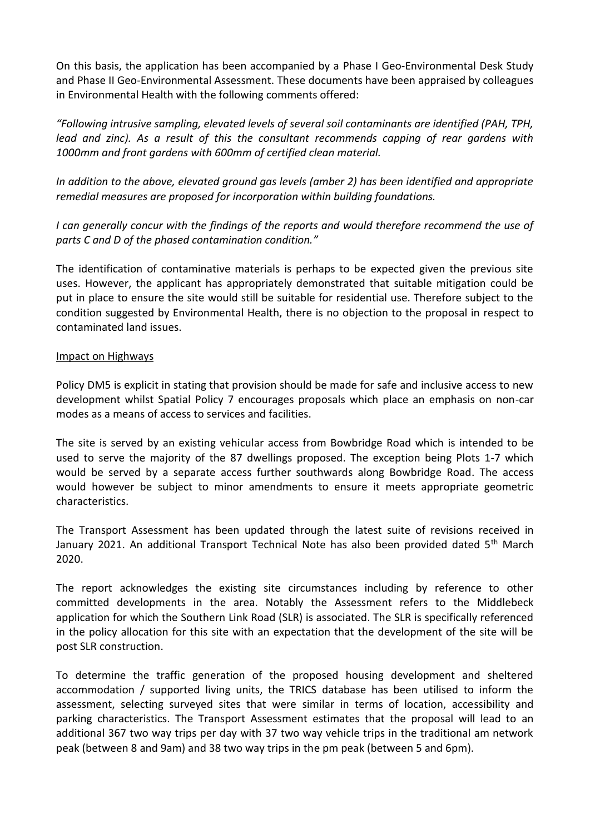On this basis, the application has been accompanied by a Phase I Geo-Environmental Desk Study and Phase II Geo-Environmental Assessment. These documents have been appraised by colleagues in Environmental Health with the following comments offered:

*"Following intrusive sampling, elevated levels of several soil contaminants are identified (PAH, TPH, lead and zinc). As a result of this the consultant recommends capping of rear gardens with 1000mm and front gardens with 600mm of certified clean material.* 

*In addition to the above, elevated ground gas levels (amber 2) has been identified and appropriate remedial measures are proposed for incorporation within building foundations.* 

*I can generally concur with the findings of the reports and would therefore recommend the use of parts C and D of the phased contamination condition."*

The identification of contaminative materials is perhaps to be expected given the previous site uses. However, the applicant has appropriately demonstrated that suitable mitigation could be put in place to ensure the site would still be suitable for residential use. Therefore subject to the condition suggested by Environmental Health, there is no objection to the proposal in respect to contaminated land issues.

#### Impact on Highways

Policy DM5 is explicit in stating that provision should be made for safe and inclusive access to new development whilst Spatial Policy 7 encourages proposals which place an emphasis on non-car modes as a means of access to services and facilities.

The site is served by an existing vehicular access from Bowbridge Road which is intended to be used to serve the majority of the 87 dwellings proposed. The exception being Plots 1-7 which would be served by a separate access further southwards along Bowbridge Road. The access would however be subject to minor amendments to ensure it meets appropriate geometric characteristics.

The Transport Assessment has been updated through the latest suite of revisions received in January 2021. An additional Transport Technical Note has also been provided dated 5<sup>th</sup> March 2020.

The report acknowledges the existing site circumstances including by reference to other committed developments in the area. Notably the Assessment refers to the Middlebeck application for which the Southern Link Road (SLR) is associated. The SLR is specifically referenced in the policy allocation for this site with an expectation that the development of the site will be post SLR construction.

To determine the traffic generation of the proposed housing development and sheltered accommodation / supported living units, the TRICS database has been utilised to inform the assessment, selecting surveyed sites that were similar in terms of location, accessibility and parking characteristics. The Transport Assessment estimates that the proposal will lead to an additional 367 two way trips per day with 37 two way vehicle trips in the traditional am network peak (between 8 and 9am) and 38 two way trips in the pm peak (between 5 and 6pm).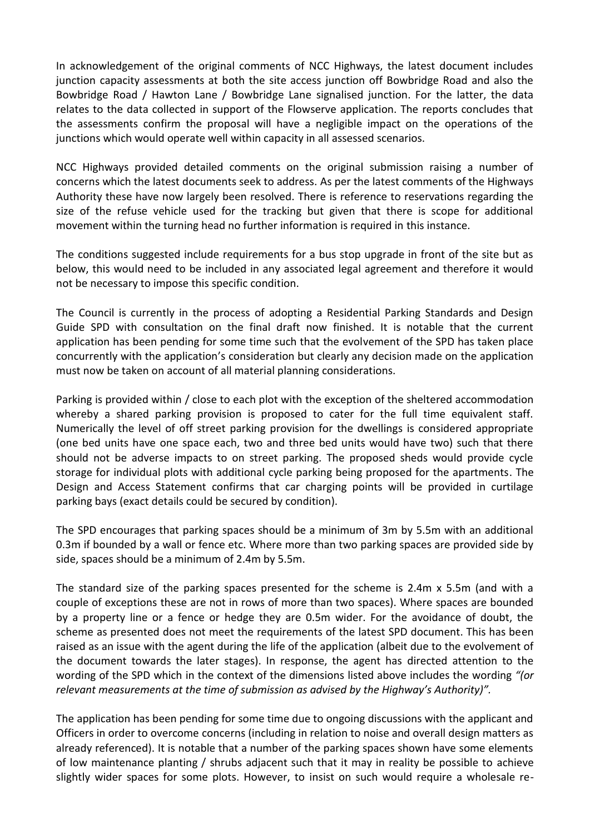In acknowledgement of the original comments of NCC Highways, the latest document includes junction capacity assessments at both the site access junction off Bowbridge Road and also the Bowbridge Road / Hawton Lane / Bowbridge Lane signalised junction. For the latter, the data relates to the data collected in support of the Flowserve application. The reports concludes that the assessments confirm the proposal will have a negligible impact on the operations of the junctions which would operate well within capacity in all assessed scenarios.

NCC Highways provided detailed comments on the original submission raising a number of concerns which the latest documents seek to address. As per the latest comments of the Highways Authority these have now largely been resolved. There is reference to reservations regarding the size of the refuse vehicle used for the tracking but given that there is scope for additional movement within the turning head no further information is required in this instance.

The conditions suggested include requirements for a bus stop upgrade in front of the site but as below, this would need to be included in any associated legal agreement and therefore it would not be necessary to impose this specific condition.

The Council is currently in the process of adopting a Residential Parking Standards and Design Guide SPD with consultation on the final draft now finished. It is notable that the current application has been pending for some time such that the evolvement of the SPD has taken place concurrently with the application's consideration but clearly any decision made on the application must now be taken on account of all material planning considerations.

Parking is provided within / close to each plot with the exception of the sheltered accommodation whereby a shared parking provision is proposed to cater for the full time equivalent staff. Numerically the level of off street parking provision for the dwellings is considered appropriate (one bed units have one space each, two and three bed units would have two) such that there should not be adverse impacts to on street parking. The proposed sheds would provide cycle storage for individual plots with additional cycle parking being proposed for the apartments. The Design and Access Statement confirms that car charging points will be provided in curtilage parking bays (exact details could be secured by condition).

The SPD encourages that parking spaces should be a minimum of 3m by 5.5m with an additional 0.3m if bounded by a wall or fence etc. Where more than two parking spaces are provided side by side, spaces should be a minimum of 2.4m by 5.5m.

The standard size of the parking spaces presented for the scheme is 2.4m x 5.5m (and with a couple of exceptions these are not in rows of more than two spaces). Where spaces are bounded by a property line or a fence or hedge they are 0.5m wider. For the avoidance of doubt, the scheme as presented does not meet the requirements of the latest SPD document. This has been raised as an issue with the agent during the life of the application (albeit due to the evolvement of the document towards the later stages). In response, the agent has directed attention to the wording of the SPD which in the context of the dimensions listed above includes the wording *"(or relevant measurements at the time of submission as advised by the Highway's Authority)".*

The application has been pending for some time due to ongoing discussions with the applicant and Officers in order to overcome concerns (including in relation to noise and overall design matters as already referenced). It is notable that a number of the parking spaces shown have some elements of low maintenance planting / shrubs adjacent such that it may in reality be possible to achieve slightly wider spaces for some plots. However, to insist on such would require a wholesale re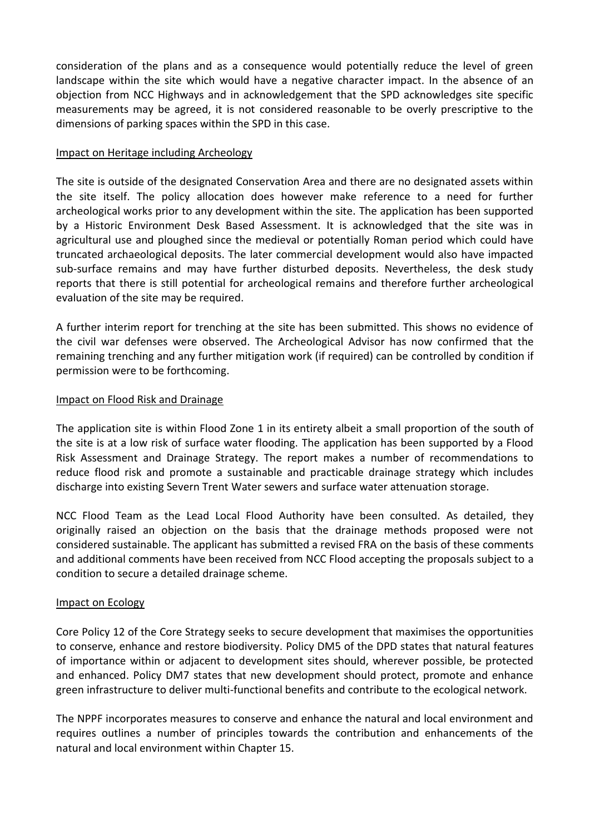consideration of the plans and as a consequence would potentially reduce the level of green landscape within the site which would have a negative character impact. In the absence of an objection from NCC Highways and in acknowledgement that the SPD acknowledges site specific measurements may be agreed, it is not considered reasonable to be overly prescriptive to the dimensions of parking spaces within the SPD in this case.

#### Impact on Heritage including Archeology

The site is outside of the designated Conservation Area and there are no designated assets within the site itself. The policy allocation does however make reference to a need for further archeological works prior to any development within the site. The application has been supported by a Historic Environment Desk Based Assessment. It is acknowledged that the site was in agricultural use and ploughed since the medieval or potentially Roman period which could have truncated archaeological deposits. The later commercial development would also have impacted sub-surface remains and may have further disturbed deposits. Nevertheless, the desk study reports that there is still potential for archeological remains and therefore further archeological evaluation of the site may be required.

A further interim report for trenching at the site has been submitted. This shows no evidence of the civil war defenses were observed. The Archeological Advisor has now confirmed that the remaining trenching and any further mitigation work (if required) can be controlled by condition if permission were to be forthcoming.

### Impact on Flood Risk and Drainage

The application site is within Flood Zone 1 in its entirety albeit a small proportion of the south of the site is at a low risk of surface water flooding. The application has been supported by a Flood Risk Assessment and Drainage Strategy. The report makes a number of recommendations to reduce flood risk and promote a sustainable and practicable drainage strategy which includes discharge into existing Severn Trent Water sewers and surface water attenuation storage.

NCC Flood Team as the Lead Local Flood Authority have been consulted. As detailed, they originally raised an objection on the basis that the drainage methods proposed were not considered sustainable. The applicant has submitted a revised FRA on the basis of these comments and additional comments have been received from NCC Flood accepting the proposals subject to a condition to secure a detailed drainage scheme.

#### Impact on Ecology

Core Policy 12 of the Core Strategy seeks to secure development that maximises the opportunities to conserve, enhance and restore biodiversity. Policy DM5 of the DPD states that natural features of importance within or adjacent to development sites should, wherever possible, be protected and enhanced. Policy DM7 states that new development should protect, promote and enhance green infrastructure to deliver multi-functional benefits and contribute to the ecological network.

The NPPF incorporates measures to conserve and enhance the natural and local environment and requires outlines a number of principles towards the contribution and enhancements of the natural and local environment within Chapter 15.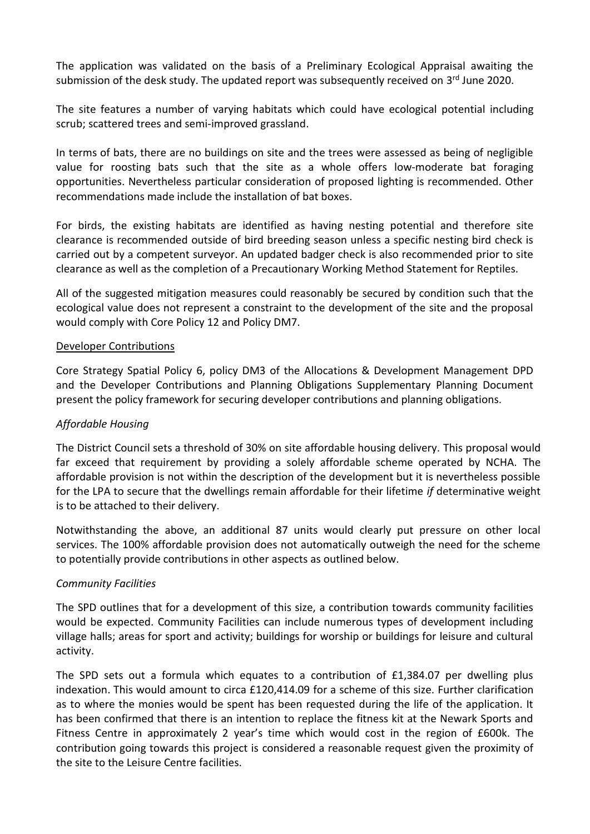The application was validated on the basis of a Preliminary Ecological Appraisal awaiting the submission of the desk study. The updated report was subsequently received on 3<sup>rd</sup> June 2020.

The site features a number of varying habitats which could have ecological potential including scrub; scattered trees and semi-improved grassland.

In terms of bats, there are no buildings on site and the trees were assessed as being of negligible value for roosting bats such that the site as a whole offers low-moderate bat foraging opportunities. Nevertheless particular consideration of proposed lighting is recommended. Other recommendations made include the installation of bat boxes.

For birds, the existing habitats are identified as having nesting potential and therefore site clearance is recommended outside of bird breeding season unless a specific nesting bird check is carried out by a competent surveyor. An updated badger check is also recommended prior to site clearance as well as the completion of a Precautionary Working Method Statement for Reptiles.

All of the suggested mitigation measures could reasonably be secured by condition such that the ecological value does not represent a constraint to the development of the site and the proposal would comply with Core Policy 12 and Policy DM7.

#### Developer Contributions

Core Strategy Spatial Policy 6, policy DM3 of the Allocations & Development Management DPD and the Developer Contributions and Planning Obligations Supplementary Planning Document present the policy framework for securing developer contributions and planning obligations.

#### *Affordable Housing*

The District Council sets a threshold of 30% on site affordable housing delivery. This proposal would far exceed that requirement by providing a solely affordable scheme operated by NCHA. The affordable provision is not within the description of the development but it is nevertheless possible for the LPA to secure that the dwellings remain affordable for their lifetime *if* determinative weight is to be attached to their delivery.

Notwithstanding the above, an additional 87 units would clearly put pressure on other local services. The 100% affordable provision does not automatically outweigh the need for the scheme to potentially provide contributions in other aspects as outlined below.

#### *Community Facilities*

The SPD outlines that for a development of this size, a contribution towards community facilities would be expected. Community Facilities can include numerous types of development including village halls; areas for sport and activity; buildings for worship or buildings for leisure and cultural activity.

The SPD sets out a formula which equates to a contribution of £1,384.07 per dwelling plus indexation. This would amount to circa £120,414.09 for a scheme of this size. Further clarification as to where the monies would be spent has been requested during the life of the application. It has been confirmed that there is an intention to replace the fitness kit at the Newark Sports and Fitness Centre in approximately 2 year's time which would cost in the region of £600k. The contribution going towards this project is considered a reasonable request given the proximity of the site to the Leisure Centre facilities.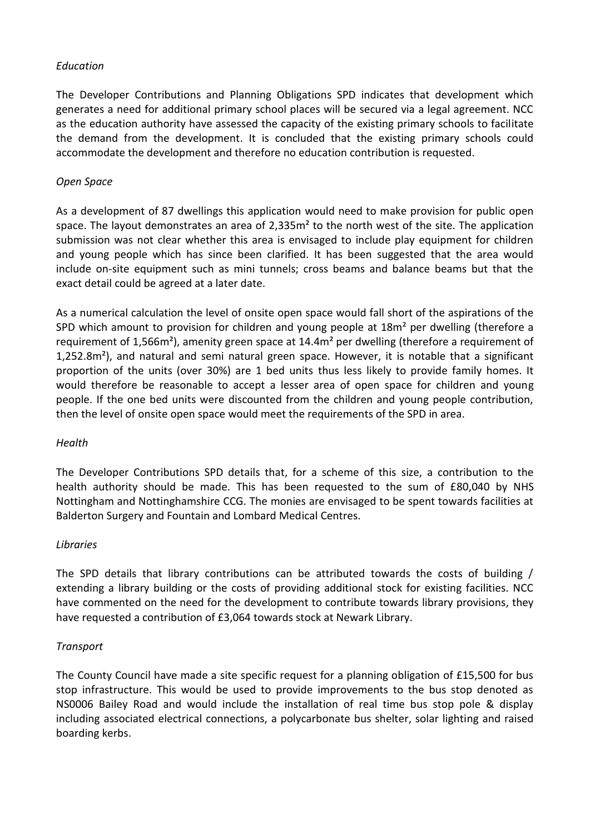### *Education*

The Developer Contributions and Planning Obligations SPD indicates that development which generates a need for additional primary school places will be secured via a legal agreement. NCC as the education authority have assessed the capacity of the existing primary schools to facilitate the demand from the development. It is concluded that the existing primary schools could accommodate the development and therefore no education contribution is requested.

### *Open Space*

As a development of 87 dwellings this application would need to make provision for public open space. The layout demonstrates an area of 2,335m<sup>2</sup> to the north west of the site. The application submission was not clear whether this area is envisaged to include play equipment for children and young people which has since been clarified. It has been suggested that the area would include on-site equipment such as mini tunnels; cross beams and balance beams but that the exact detail could be agreed at a later date.

As a numerical calculation the level of onsite open space would fall short of the aspirations of the SPD which amount to provision for children and young people at 18m<sup>2</sup> per dwelling (therefore a requirement of 1,566m²), amenity green space at 14.4m² per dwelling (therefore a requirement of 1,252.8m²), and natural and semi natural green space. However, it is notable that a significant proportion of the units (over 30%) are 1 bed units thus less likely to provide family homes. It would therefore be reasonable to accept a lesser area of open space for children and young people. If the one bed units were discounted from the children and young people contribution, then the level of onsite open space would meet the requirements of the SPD in area.

#### *Health*

The Developer Contributions SPD details that, for a scheme of this size, a contribution to the health authority should be made. This has been requested to the sum of £80,040 by NHS Nottingham and Nottinghamshire CCG. The monies are envisaged to be spent towards facilities at Balderton Surgery and Fountain and Lombard Medical Centres.

#### *Libraries*

The SPD details that library contributions can be attributed towards the costs of building / extending a library building or the costs of providing additional stock for existing facilities. NCC have commented on the need for the development to contribute towards library provisions, they have requested a contribution of £3,064 towards stock at Newark Library.

#### *Transport*

The County Council have made a site specific request for a planning obligation of £15,500 for bus stop infrastructure. This would be used to provide improvements to the bus stop denoted as NS0006 Bailey Road and would include the installation of real time bus stop pole & display including associated electrical connections, a polycarbonate bus shelter, solar lighting and raised boarding kerbs.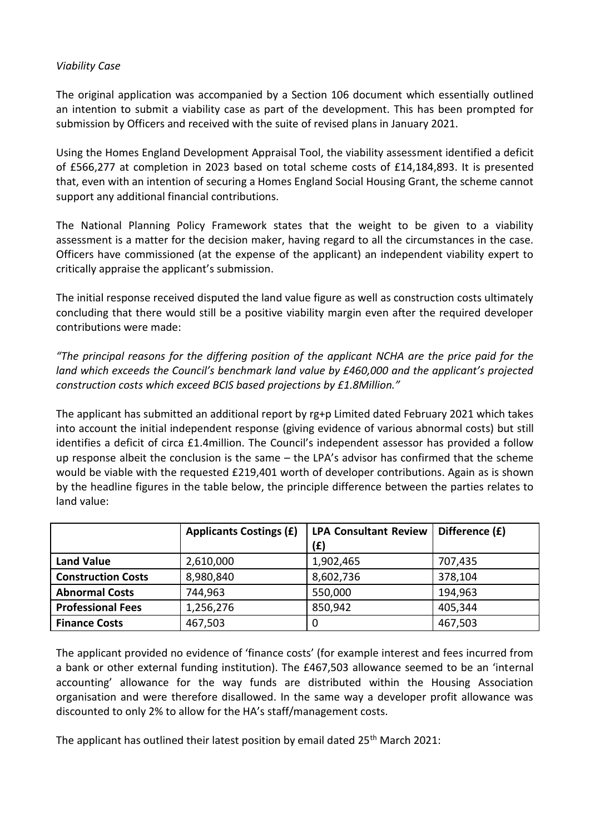### *Viability Case*

The original application was accompanied by a Section 106 document which essentially outlined an intention to submit a viability case as part of the development. This has been prompted for submission by Officers and received with the suite of revised plans in January 2021.

Using the Homes England Development Appraisal Tool, the viability assessment identified a deficit of £566,277 at completion in 2023 based on total scheme costs of £14,184,893. It is presented that, even with an intention of securing a Homes England Social Housing Grant, the scheme cannot support any additional financial contributions.

The National Planning Policy Framework states that the weight to be given to a viability assessment is a matter for the decision maker, having regard to all the circumstances in the case. Officers have commissioned (at the expense of the applicant) an independent viability expert to critically appraise the applicant's submission.

The initial response received disputed the land value figure as well as construction costs ultimately concluding that there would still be a positive viability margin even after the required developer contributions were made:

*"The principal reasons for the differing position of the applicant NCHA are the price paid for the land which exceeds the Council's benchmark land value by £460,000 and the applicant's projected construction costs which exceed BCIS based projections by £1.8Million."*

The applicant has submitted an additional report by rg+p Limited dated February 2021 which takes into account the initial independent response (giving evidence of various abnormal costs) but still identifies a deficit of circa £1.4million. The Council's independent assessor has provided a follow up response albeit the conclusion is the same – the LPA's advisor has confirmed that the scheme would be viable with the requested £219,401 worth of developer contributions. Again as is shown by the headline figures in the table below, the principle difference between the parties relates to land value:

|                           | <b>Applicants Costings (£)</b> | <b>LPA Consultant Review</b><br>(E) | Difference (£) |
|---------------------------|--------------------------------|-------------------------------------|----------------|
| <b>Land Value</b>         | 2,610,000                      | 1,902,465                           | 707,435        |
| <b>Construction Costs</b> | 8,980,840                      | 8,602,736                           | 378,104        |
| <b>Abnormal Costs</b>     | 744,963                        | 550,000                             | 194,963        |
| <b>Professional Fees</b>  | 1,256,276                      | 850,942                             | 405,344        |
| <b>Finance Costs</b>      | 467,503                        |                                     | 467,503        |

The applicant provided no evidence of 'finance costs' (for example interest and fees incurred from a bank or other external funding institution). The £467,503 allowance seemed to be an 'internal accounting' allowance for the way funds are distributed within the Housing Association organisation and were therefore disallowed. In the same way a developer profit allowance was discounted to only 2% to allow for the HA's staff/management costs.

The applicant has outlined their latest position by email dated 25<sup>th</sup> March 2021: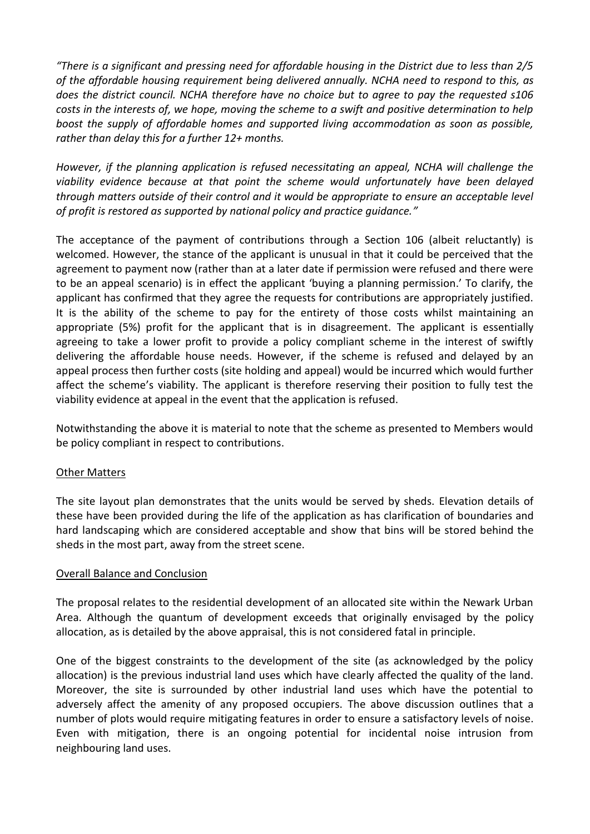*"There is a significant and pressing need for affordable housing in the District due to less than 2/5 of the affordable housing requirement being delivered annually. NCHA need to respond to this, as does the district council. NCHA therefore have no choice but to agree to pay the requested s106 costs in the interests of, we hope, moving the scheme to a swift and positive determination to help boost the supply of affordable homes and supported living accommodation as soon as possible, rather than delay this for a further 12+ months.* 

*However, if the planning application is refused necessitating an appeal, NCHA will challenge the viability evidence because at that point the scheme would unfortunately have been delayed through matters outside of their control and it would be appropriate to ensure an acceptable level of profit is restored as supported by national policy and practice guidance."*

The acceptance of the payment of contributions through a Section 106 (albeit reluctantly) is welcomed. However, the stance of the applicant is unusual in that it could be perceived that the agreement to payment now (rather than at a later date if permission were refused and there were to be an appeal scenario) is in effect the applicant 'buying a planning permission.' To clarify, the applicant has confirmed that they agree the requests for contributions are appropriately justified. It is the ability of the scheme to pay for the entirety of those costs whilst maintaining an appropriate (5%) profit for the applicant that is in disagreement. The applicant is essentially agreeing to take a lower profit to provide a policy compliant scheme in the interest of swiftly delivering the affordable house needs. However, if the scheme is refused and delayed by an appeal process then further costs (site holding and appeal) would be incurred which would further affect the scheme's viability. The applicant is therefore reserving their position to fully test the viability evidence at appeal in the event that the application is refused.

Notwithstanding the above it is material to note that the scheme as presented to Members would be policy compliant in respect to contributions.

#### Other Matters

The site layout plan demonstrates that the units would be served by sheds. Elevation details of these have been provided during the life of the application as has clarification of boundaries and hard landscaping which are considered acceptable and show that bins will be stored behind the sheds in the most part, away from the street scene.

#### Overall Balance and Conclusion

The proposal relates to the residential development of an allocated site within the Newark Urban Area. Although the quantum of development exceeds that originally envisaged by the policy allocation, as is detailed by the above appraisal, this is not considered fatal in principle.

One of the biggest constraints to the development of the site (as acknowledged by the policy allocation) is the previous industrial land uses which have clearly affected the quality of the land. Moreover, the site is surrounded by other industrial land uses which have the potential to adversely affect the amenity of any proposed occupiers. The above discussion outlines that a number of plots would require mitigating features in order to ensure a satisfactory levels of noise. Even with mitigation, there is an ongoing potential for incidental noise intrusion from neighbouring land uses.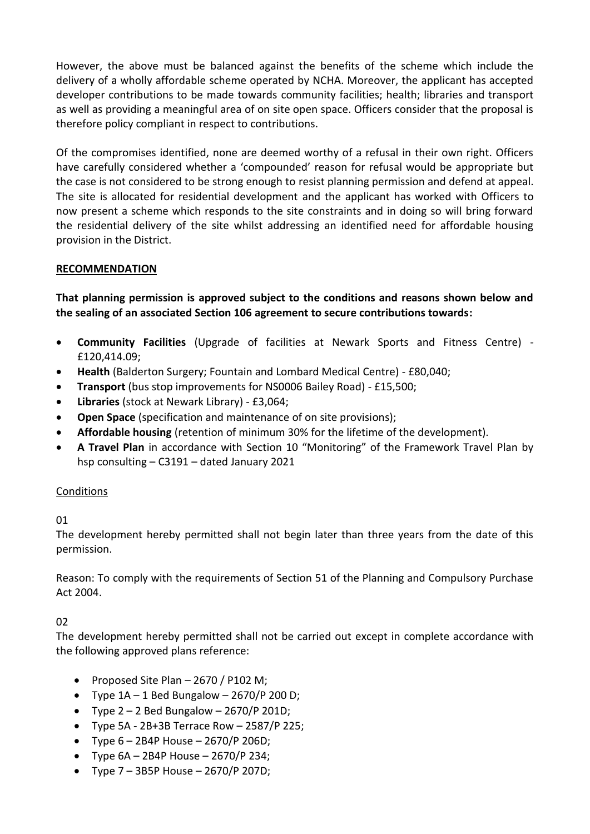However, the above must be balanced against the benefits of the scheme which include the delivery of a wholly affordable scheme operated by NCHA. Moreover, the applicant has accepted developer contributions to be made towards community facilities; health; libraries and transport as well as providing a meaningful area of on site open space. Officers consider that the proposal is therefore policy compliant in respect to contributions.

Of the compromises identified, none are deemed worthy of a refusal in their own right. Officers have carefully considered whether a 'compounded' reason for refusal would be appropriate but the case is not considered to be strong enough to resist planning permission and defend at appeal. The site is allocated for residential development and the applicant has worked with Officers to now present a scheme which responds to the site constraints and in doing so will bring forward the residential delivery of the site whilst addressing an identified need for affordable housing provision in the District.

# **RECOMMENDATION**

**That planning permission is approved subject to the conditions and reasons shown below and the sealing of an associated Section 106 agreement to secure contributions towards:**

- **Community Facilities** (Upgrade of facilities at Newark Sports and Fitness Centre) £120,414.09;
- **Health** (Balderton Surgery; Fountain and Lombard Medical Centre) £80,040;
- **Transport** (bus stop improvements for NS0006 Bailey Road) £15,500;
- **Libraries** (stock at Newark Library) £3,064;
- **Open Space** (specification and maintenance of on site provisions);
- **Affordable housing** (retention of minimum 30% for the lifetime of the development).
- **A Travel Plan** in accordance with Section 10 "Monitoring" of the Framework Travel Plan by hsp consulting – C3191 – dated January 2021

# Conditions

01

The development hereby permitted shall not begin later than three years from the date of this permission.

Reason: To comply with the requirements of Section 51 of the Planning and Compulsory Purchase Act 2004.

# 02

The development hereby permitted shall not be carried out except in complete accordance with the following approved plans reference:

- Proposed Site Plan  $-$  2670 / P102 M;
- Type  $1A 1$  Bed Bungalow  $2670/P$  200 D;
- Type  $2 2$  Bed Bungalow  $2670/P 201D$ ;
- $\bullet$  Type 5A 2B+3B Terrace Row 2587/P 225:
- Type  $6 2B4P$  House  $2670/P$  206D;
- Type  $6A 2B4P$  House  $2670/P$  234;
- Type  $7 3B5P$  House  $2670/P$  207D;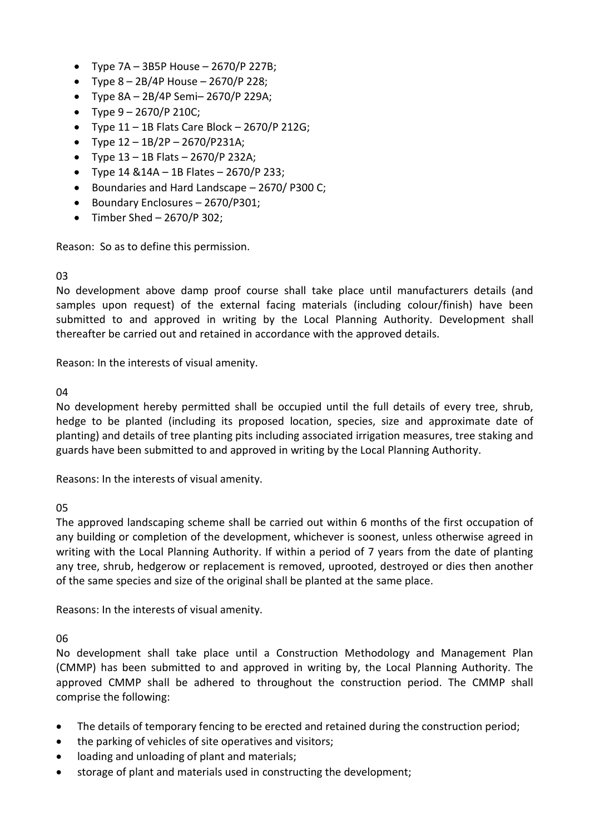- Type  $7A 3B5P$  House  $2670/P$  227B;
- Type  $8 2B/4P$  House  $2670/P$  228;
- Type 8A 2B/4P Semi– 2670/P 229A;
- Type  $9 2670/P 210C$ ;
- Type  $11 1B$  Flats Care Block  $2670/P$  212G;
- Type  $12 1B/2P 2670/P231A$ ;
- Type  $13 1B$  Flats  $2670/P$  232A;
- Type  $14 \& 14A 1B$  Flates 2670/P 233;
- Boundaries and Hard Landscape 2670/ P300 C;
- Boundary Enclosures 2670/P301;
- $\bullet$  Timber Shed 2670/P 302;

Reason: So as to define this permission.

#### 03

No development above damp proof course shall take place until manufacturers details (and samples upon request) of the external facing materials (including colour/finish) have been submitted to and approved in writing by the Local Planning Authority. Development shall thereafter be carried out and retained in accordance with the approved details.

Reason: In the interests of visual amenity.

#### 04

No development hereby permitted shall be occupied until the full details of every tree, shrub, hedge to be planted (including its proposed location, species, size and approximate date of planting) and details of tree planting pits including associated irrigation measures, tree staking and guards have been submitted to and approved in writing by the Local Planning Authority.

Reasons: In the interests of visual amenity.

#### 05

The approved landscaping scheme shall be carried out within 6 months of the first occupation of any building or completion of the development, whichever is soonest, unless otherwise agreed in writing with the Local Planning Authority. If within a period of 7 years from the date of planting any tree, shrub, hedgerow or replacement is removed, uprooted, destroyed or dies then another of the same species and size of the original shall be planted at the same place.

Reasons: In the interests of visual amenity.

06

No development shall take place until a Construction Methodology and Management Plan (CMMP) has been submitted to and approved in writing by, the Local Planning Authority. The approved CMMP shall be adhered to throughout the construction period. The CMMP shall comprise the following:

- The details of temporary fencing to be erected and retained during the construction period;
- the parking of vehicles of site operatives and visitors;
- loading and unloading of plant and materials;
- storage of plant and materials used in constructing the development;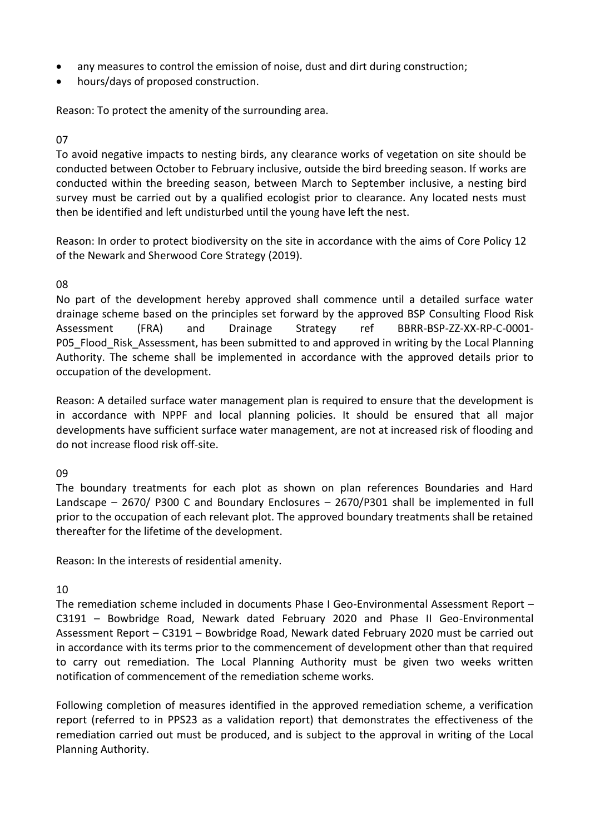- any measures to control the emission of noise, dust and dirt during construction;
- hours/days of proposed construction.

Reason: To protect the amenity of the surrounding area.

### 07

To avoid negative impacts to nesting birds, any clearance works of vegetation on site should be conducted between October to February inclusive, outside the bird breeding season. If works are conducted within the breeding season, between March to September inclusive, a nesting bird survey must be carried out by a qualified ecologist prior to clearance. Any located nests must then be identified and left undisturbed until the young have left the nest.

Reason: In order to protect biodiversity on the site in accordance with the aims of Core Policy 12 of the Newark and Sherwood Core Strategy (2019).

### 08

No part of the development hereby approved shall commence until a detailed surface water drainage scheme based on the principles set forward by the approved BSP Consulting Flood Risk Assessment (FRA) and Drainage Strategy ref BBRR-BSP-ZZ-XX-RP-C-0001- P05 Flood Risk Assessment, has been submitted to and approved in writing by the Local Planning Authority. The scheme shall be implemented in accordance with the approved details prior to occupation of the development.

Reason: A detailed surface water management plan is required to ensure that the development is in accordance with NPPF and local planning policies. It should be ensured that all major developments have sufficient surface water management, are not at increased risk of flooding and do not increase flood risk off-site.

#### 09

The boundary treatments for each plot as shown on plan references Boundaries and Hard Landscape – 2670/ P300 C and Boundary Enclosures – 2670/P301 shall be implemented in full prior to the occupation of each relevant plot. The approved boundary treatments shall be retained thereafter for the lifetime of the development.

Reason: In the interests of residential amenity.

# 10

The remediation scheme included in documents Phase I Geo-Environmental Assessment Report – C3191 – Bowbridge Road, Newark dated February 2020 and Phase II Geo-Environmental Assessment Report – C3191 – Bowbridge Road, Newark dated February 2020 must be carried out in accordance with its terms prior to the commencement of development other than that required to carry out remediation. The Local Planning Authority must be given two weeks written notification of commencement of the remediation scheme works.

Following completion of measures identified in the approved remediation scheme, a verification report (referred to in PPS23 as a validation report) that demonstrates the effectiveness of the remediation carried out must be produced, and is subject to the approval in writing of the Local Planning Authority.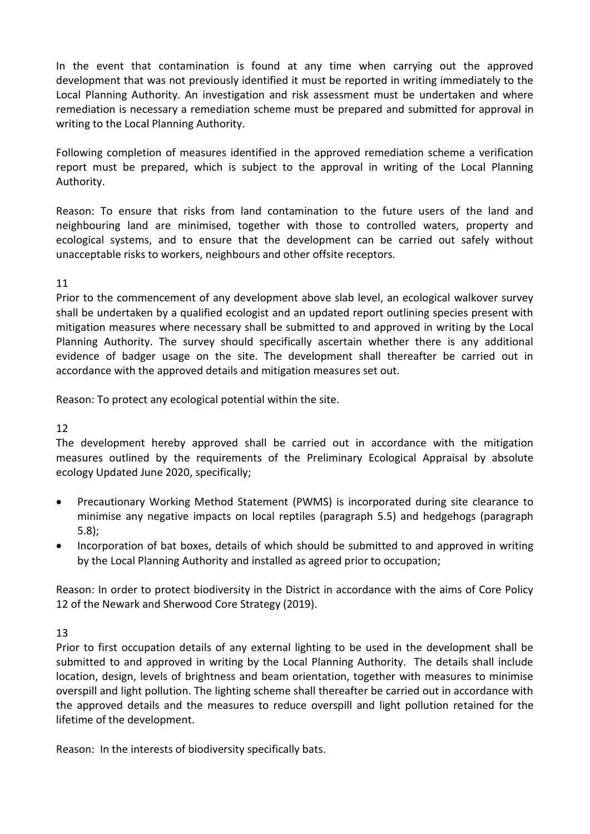In the event that contamination is found at any time when carrying out the approved development that was not previously identified it must be reported in writing immediately to the Local Planning Authority. An investigation and risk assessment must be undertaken and where remediation is necessary a remediation scheme must be prepared and submitted for approval in writing to the Local Planning Authority.

Following completion of measures identified in the approved remediation scheme a verification report must be prepared, which is subject to the approval in writing of the Local Planning Authority.

Reason: To ensure that risks from land contamination to the future users of the land and neighbouring land are minimised, together with those to controlled waters, property and ecological systems, and to ensure that the development can be carried out safely without unacceptable risks to workers, neighbours and other offsite receptors.

11

Prior to the commencement of any development above slab level, an ecological walkover survey shall be undertaken by a qualified ecologist and an updated report outlining species present with mitigation measures where necessary shall be submitted to and approved in writing by the Local Planning Authority. The survey should specifically ascertain whether there is any additional evidence of badger usage on the site. The development shall thereafter be carried out in accordance with the approved details and mitigation measures set out.

Reason: To protect any ecological potential within the site.

12

The development hereby approved shall be carried out in accordance with the mitigation measures outlined by the requirements of the Preliminary Ecological Appraisal by absolute ecology Updated June 2020, specifically;

- Precautionary Working Method Statement (PWMS) is incorporated during site clearance to minimise any negative impacts on local reptiles (paragraph 5.5) and hedgehogs (paragraph 5.8);
- Incorporation of bat boxes, details of which should be submitted to and approved in writing by the Local Planning Authority and installed as agreed prior to occupation;

Reason: In order to protect biodiversity in the District in accordance with the aims of Core Policy 12 of the Newark and Sherwood Core Strategy (2019).

13

Prior to first occupation details of any external lighting to be used in the development shall be submitted to and approved in writing by the Local Planning Authority. The details shall include location, design, levels of brightness and beam orientation, together with measures to minimise overspill and light pollution. The lighting scheme shall thereafter be carried out in accordance with the approved details and the measures to reduce overspill and light pollution retained for the lifetime of the development.

Reason: In the interests of biodiversity specifically bats.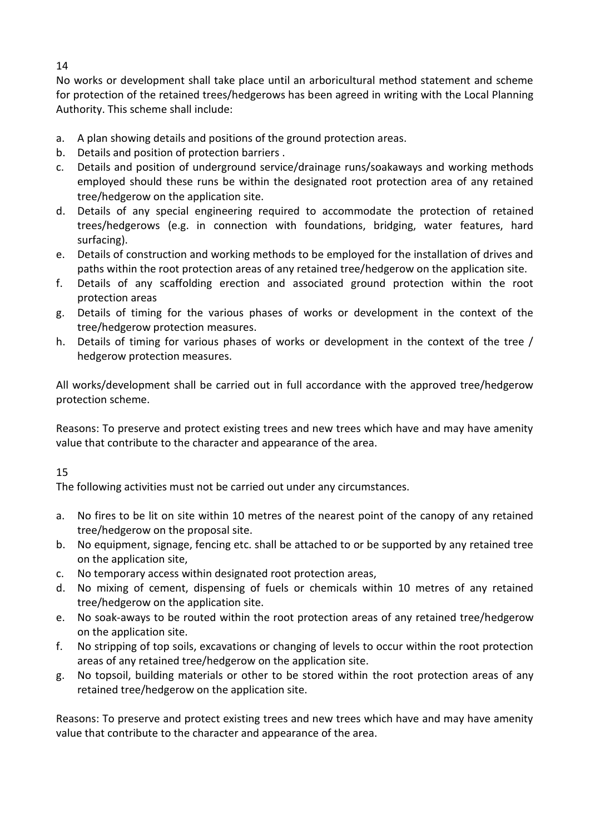14

No works or development shall take place until an arboricultural method statement and scheme for protection of the retained trees/hedgerows has been agreed in writing with the Local Planning Authority. This scheme shall include:

- a. A plan showing details and positions of the ground protection areas.
- b. Details and position of protection barriers .
- c. Details and position of underground service/drainage runs/soakaways and working methods employed should these runs be within the designated root protection area of any retained tree/hedgerow on the application site.
- d. Details of any special engineering required to accommodate the protection of retained trees/hedgerows (e.g. in connection with foundations, bridging, water features, hard surfacing).
- e. Details of construction and working methods to be employed for the installation of drives and paths within the root protection areas of any retained tree/hedgerow on the application site.
- f. Details of any scaffolding erection and associated ground protection within the root protection areas
- g. Details of timing for the various phases of works or development in the context of the tree/hedgerow protection measures.
- h. Details of timing for various phases of works or development in the context of the tree / hedgerow protection measures.

All works/development shall be carried out in full accordance with the approved tree/hedgerow protection scheme.

Reasons: To preserve and protect existing trees and new trees which have and may have amenity value that contribute to the character and appearance of the area.

# 15

The following activities must not be carried out under any circumstances.

- a. No fires to be lit on site within 10 metres of the nearest point of the canopy of any retained tree/hedgerow on the proposal site.
- b. No equipment, signage, fencing etc. shall be attached to or be supported by any retained tree on the application site,
- c. No temporary access within designated root protection areas,
- d. No mixing of cement, dispensing of fuels or chemicals within 10 metres of any retained tree/hedgerow on the application site.
- e. No soak-aways to be routed within the root protection areas of any retained tree/hedgerow on the application site.
- f. No stripping of top soils, excavations or changing of levels to occur within the root protection areas of any retained tree/hedgerow on the application site.
- g. No topsoil, building materials or other to be stored within the root protection areas of any retained tree/hedgerow on the application site.

Reasons: To preserve and protect existing trees and new trees which have and may have amenity value that contribute to the character and appearance of the area.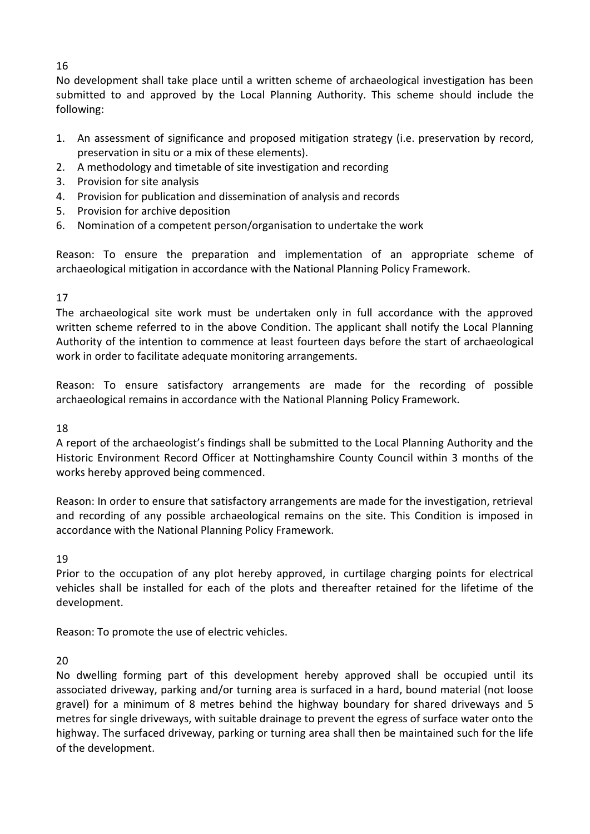# 16

No development shall take place until a written scheme of archaeological investigation has been submitted to and approved by the Local Planning Authority. This scheme should include the following:

- 1. An assessment of significance and proposed mitigation strategy (i.e. preservation by record, preservation in situ or a mix of these elements).
- 2. A methodology and timetable of site investigation and recording
- 3. Provision for site analysis
- 4. Provision for publication and dissemination of analysis and records
- 5. Provision for archive deposition
- 6. Nomination of a competent person/organisation to undertake the work

Reason: To ensure the preparation and implementation of an appropriate scheme of archaeological mitigation in accordance with the National Planning Policy Framework.

# 17

The archaeological site work must be undertaken only in full accordance with the approved written scheme referred to in the above Condition. The applicant shall notify the Local Planning Authority of the intention to commence at least fourteen days before the start of archaeological work in order to facilitate adequate monitoring arrangements.

Reason: To ensure satisfactory arrangements are made for the recording of possible archaeological remains in accordance with the National Planning Policy Framework.

# 18

A report of the archaeologist's findings shall be submitted to the Local Planning Authority and the Historic Environment Record Officer at Nottinghamshire County Council within 3 months of the works hereby approved being commenced.

Reason: In order to ensure that satisfactory arrangements are made for the investigation, retrieval and recording of any possible archaeological remains on the site. This Condition is imposed in accordance with the National Planning Policy Framework.

# 19

Prior to the occupation of any plot hereby approved, in curtilage charging points for electrical vehicles shall be installed for each of the plots and thereafter retained for the lifetime of the development.

Reason: To promote the use of electric vehicles.

# 20

No dwelling forming part of this development hereby approved shall be occupied until its associated driveway, parking and/or turning area is surfaced in a hard, bound material (not loose gravel) for a minimum of 8 metres behind the highway boundary for shared driveways and 5 metres for single driveways, with suitable drainage to prevent the egress of surface water onto the highway. The surfaced driveway, parking or turning area shall then be maintained such for the life of the development.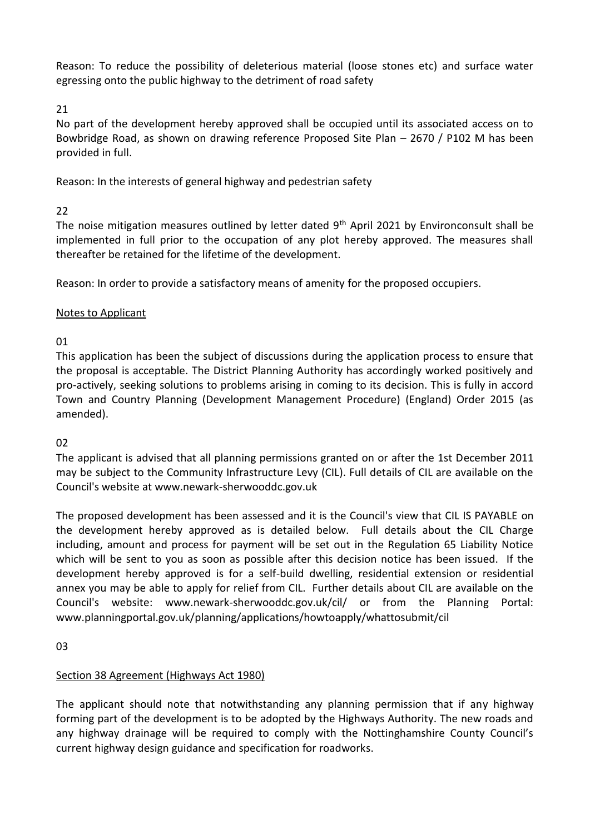Reason: To reduce the possibility of deleterious material (loose stones etc) and surface water egressing onto the public highway to the detriment of road safety

21

No part of the development hereby approved shall be occupied until its associated access on to Bowbridge Road, as shown on drawing reference Proposed Site Plan – 2670 / P102 M has been provided in full.

Reason: In the interests of general highway and pedestrian safety

# 22

The noise mitigation measures outlined by letter dated 9<sup>th</sup> April 2021 by Environconsult shall be implemented in full prior to the occupation of any plot hereby approved. The measures shall thereafter be retained for the lifetime of the development.

Reason: In order to provide a satisfactory means of amenity for the proposed occupiers.

# Notes to Applicant

01

This application has been the subject of discussions during the application process to ensure that the proposal is acceptable. The District Planning Authority has accordingly worked positively and pro-actively, seeking solutions to problems arising in coming to its decision. This is fully in accord Town and Country Planning (Development Management Procedure) (England) Order 2015 (as amended).

# 02

The applicant is advised that all planning permissions granted on or after the 1st December 2011 may be subject to the Community Infrastructure Levy (CIL). Full details of CIL are available on the Council's website at www.newark-sherwooddc.gov.uk

The proposed development has been assessed and it is the Council's view that CIL IS PAYABLE on the development hereby approved as is detailed below. Full details about the CIL Charge including, amount and process for payment will be set out in the Regulation 65 Liability Notice which will be sent to you as soon as possible after this decision notice has been issued. If the development hereby approved is for a self-build dwelling, residential extension or residential annex you may be able to apply for relief from CIL. Further details about CIL are available on the Council's website: www.newark-sherwooddc.gov.uk/cil/ or from the Planning Portal: www.planningportal.gov.uk/planning/applications/howtoapply/whattosubmit/cil

03

# Section 38 Agreement (Highways Act 1980)

The applicant should note that notwithstanding any planning permission that if any highway forming part of the development is to be adopted by the Highways Authority. The new roads and any highway drainage will be required to comply with the Nottinghamshire County Council's current highway design guidance and specification for roadworks.